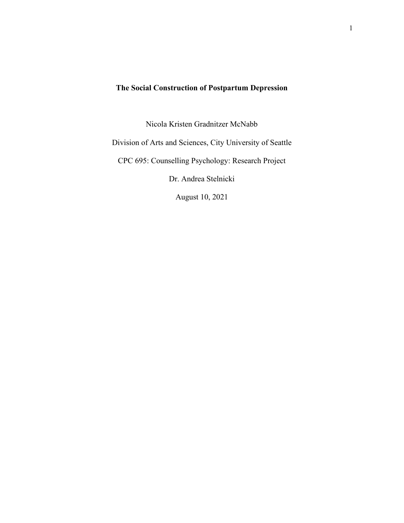# **The Social Construction of Postpartum Depression**

Nicola Kristen Gradnitzer McNabb

Division of Arts and Sciences, City University of Seattle

CPC 695: Counselling Psychology: Research Project

Dr. Andrea Stelnicki

August 10, 2021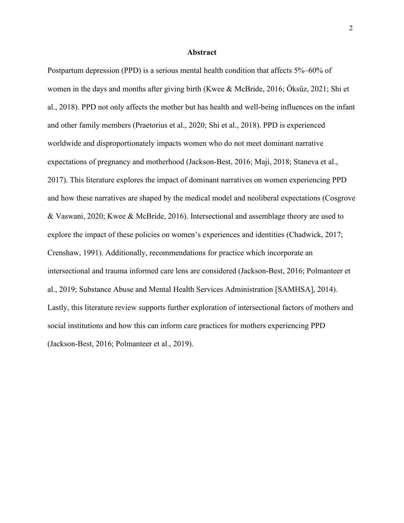## **Abstract**

Postpartum depression (PPD) is a serious mental health condition that affects 5%–60% of women in the days and months after giving birth (Kwee & McBride, 2016; Öksüz, 2021; Shi et al., 2018). PPD not only affects the mother but has health and well-being influences on the infant and other family members (Praetorius et al., 2020; Shi et al., 2018). PPD is experienced worldwide and disproportionately impacts women who do not meet dominant narrative expectations of pregnancy and motherhood (Jackson-Best, 2016; Maji, 2018; Staneva et al., 2017). This literature explores the impact of dominant narratives on women experiencing PPD and how these narratives are shaped by the medical model and neoliberal expectations (Cosgrove & Vaswani, 2020; Kwee & McBride, 2016). Intersectional and assemblage theory are used to explore the impact of these policies on women's experiences and identities (Chadwick, 2017; Crenshaw, 1991). Additionally, recommendations for practice which incorporate an intersectional and trauma informed care lens are considered (Jackson-Best, 2016; Polmanteer et al., 2019; Substance Abuse and Mental Health Services Administration [SAMHSA], 2014). Lastly, this literature review supports further exploration of intersectional factors of mothers and social institutions and how this can inform care practices for mothers experiencing PPD (Jackson-Best, 2016; Polmanteer et al., 2019).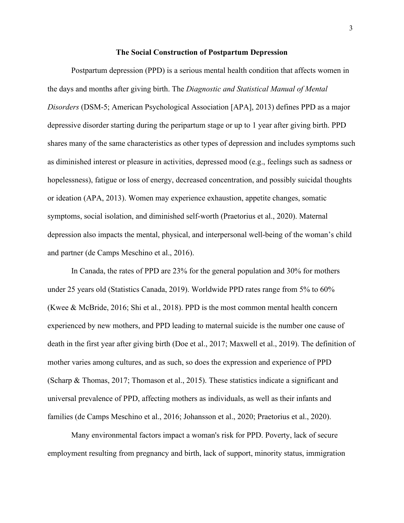#### **The Social Construction of Postpartum Depression**

Postpartum depression (PPD) is a serious mental health condition that affects women in the days and months after giving birth. The *Diagnostic and Statistical Manual of Mental Disorders* (DSM-5; American Psychological Association [APA], 2013) defines PPD as a major depressive disorder starting during the peripartum stage or up to 1 year after giving birth. PPD shares many of the same characteristics as other types of depression and includes symptoms such as diminished interest or pleasure in activities, depressed mood (e.g., feelings such as sadness or hopelessness), fatigue or loss of energy, decreased concentration, and possibly suicidal thoughts or ideation (APA, 2013). Women may experience exhaustion, appetite changes, somatic symptoms, social isolation, and diminished self-worth (Praetorius et al., 2020). Maternal depression also impacts the mental, physical, and interpersonal well-being of the woman's child and partner (de Camps Meschino et al., 2016).

In Canada, the rates of PPD are 23% for the general population and 30% for mothers under 25 years old (Statistics Canada, 2019). Worldwide PPD rates range from 5% to 60% (Kwee & McBride, 2016; Shi et al., 2018). PPD is the most common mental health concern experienced by new mothers, and PPD leading to maternal suicide is the number one cause of death in the first year after giving birth (Doe et al., 2017; Maxwell et al., 2019). The definition of mother varies among cultures, and as such, so does the expression and experience of PPD (Scharp & Thomas, 2017; Thomason et al., 2015). These statistics indicate a significant and universal prevalence of PPD, affecting mothers as individuals, as well as their infants and families (de Camps Meschino et al., 2016; Johansson et al., 2020; Praetorius et al., 2020).

Many environmental factors impact a woman's risk for PPD. Poverty, lack of secure employment resulting from pregnancy and birth, lack of support, minority status, immigration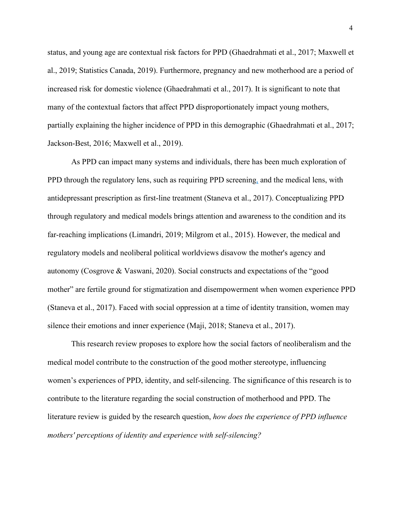status, and young age are contextual risk factors for PPD (Ghaedrahmati et al., 2017; Maxwell et al., 2019; Statistics Canada, 2019). Furthermore, pregnancy and new motherhood are a period of increased risk for domestic violence (Ghaedrahmati et al., 2017). It is significant to note that many of the contextual factors that affect PPD disproportionately impact young mothers, partially explaining the higher incidence of PPD in this demographic (Ghaedrahmati et al., 2017; Jackson-Best, 2016; Maxwell et al., 2019).

As PPD can impact many systems and individuals, there has been much exploration of PPD through the regulatory lens, such as requiring PPD screening, and the medical lens, with antidepressant prescription as first-line treatment (Staneva et al., 2017). Conceptualizing PPD through regulatory and medical models brings attention and awareness to the condition and its far-reaching implications (Limandri, 2019; Milgrom et al., 2015). However, the medical and regulatory models and neoliberal political worldviews disavow the mother's agency and autonomy (Cosgrove & Vaswani, 2020). Social constructs and expectations of the "good mother" are fertile ground for stigmatization and disempowerment when women experience PPD (Staneva et al., 2017). Faced with social oppression at a time of identity transition, women may silence their emotions and inner experience (Maji, 2018; Staneva et al., 2017).

This research review proposes to explore how the social factors of neoliberalism and the medical model contribute to the construction of the good mother stereotype, influencing women's experiences of PPD, identity, and self-silencing. The significance of this research is to contribute to the literature regarding the social construction of motherhood and PPD. The literature review is guided by the research question, *how does the experience of PPD influence mothers' perceptions of identity and experience with self-silencing?*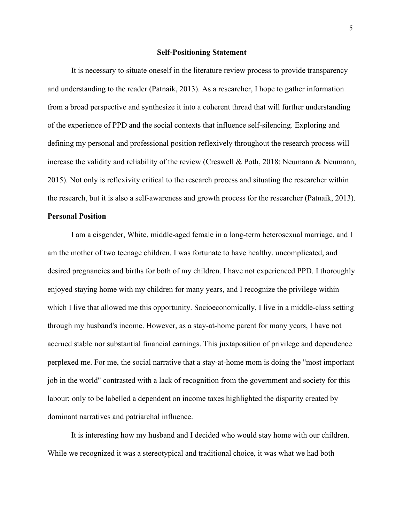#### **Self-Positioning Statement**

It is necessary to situate oneself in the literature review process to provide transparency and understanding to the reader (Patnaik, 2013). As a researcher, I hope to gather information from a broad perspective and synthesize it into a coherent thread that will further understanding of the experience of PPD and the social contexts that influence self-silencing. Exploring and defining my personal and professional position reflexively throughout the research process will increase the validity and reliability of the review (Creswell & Poth, 2018; Neumann & Neumann, 2015). Not only is reflexivity critical to the research process and situating the researcher within the research, but it is also a self-awareness and growth process for the researcher (Patnaik, 2013).

## **Personal Position**

I am a cisgender, White, middle-aged female in a long-term heterosexual marriage, and I am the mother of two teenage children. I was fortunate to have healthy, uncomplicated, and desired pregnancies and births for both of my children. I have not experienced PPD. I thoroughly enjoyed staying home with my children for many years, and I recognize the privilege within which I live that allowed me this opportunity. Socioeconomically, I live in a middle-class setting through my husband's income. However, as a stay-at-home parent for many years, I have not accrued stable nor substantial financial earnings. This juxtaposition of privilege and dependence perplexed me. For me, the social narrative that a stay-at-home mom is doing the "most important job in the world" contrasted with a lack of recognition from the government and society for this labour; only to be labelled a dependent on income taxes highlighted the disparity created by dominant narratives and patriarchal influence.

It is interesting how my husband and I decided who would stay home with our children. While we recognized it was a stereotypical and traditional choice, it was what we had both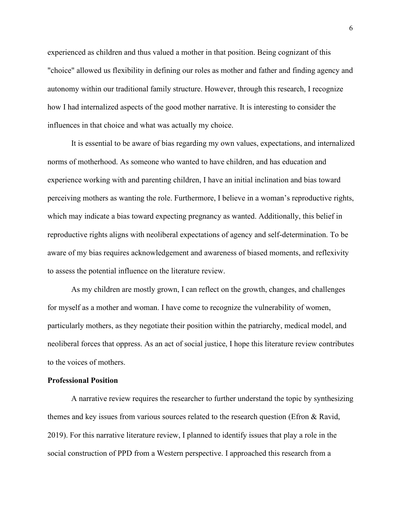experienced as children and thus valued a mother in that position. Being cognizant of this "choice" allowed us flexibility in defining our roles as mother and father and finding agency and autonomy within our traditional family structure. However, through this research, I recognize how I had internalized aspects of the good mother narrative. It is interesting to consider the influences in that choice and what was actually my choice.

It is essential to be aware of bias regarding my own values, expectations, and internalized norms of motherhood. As someone who wanted to have children, and has education and experience working with and parenting children, I have an initial inclination and bias toward perceiving mothers as wanting the role. Furthermore, I believe in a woman's reproductive rights, which may indicate a bias toward expecting pregnancy as wanted. Additionally, this belief in reproductive rights aligns with neoliberal expectations of agency and self-determination. To be aware of my bias requires acknowledgement and awareness of biased moments, and reflexivity to assess the potential influence on the literature review.

As my children are mostly grown, I can reflect on the growth, changes, and challenges for myself as a mother and woman. I have come to recognize the vulnerability of women, particularly mothers, as they negotiate their position within the patriarchy, medical model, and neoliberal forces that oppress. As an act of social justice, I hope this literature review contributes to the voices of mothers.

#### **Professional Position**

A narrative review requires the researcher to further understand the topic by synthesizing themes and key issues from various sources related to the research question (Efron & Ravid, 2019). For this narrative literature review, I planned to identify issues that play a role in the social construction of PPD from a Western perspective. I approached this research from a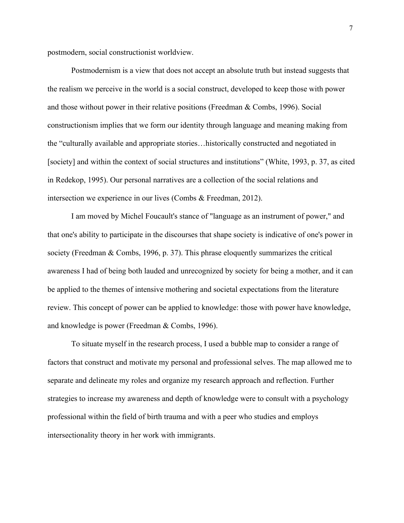postmodern, social constructionist worldview.

Postmodernism is a view that does not accept an absolute truth but instead suggests that the realism we perceive in the world is a social construct, developed to keep those with power and those without power in their relative positions (Freedman & Combs, 1996). Social constructionism implies that we form our identity through language and meaning making from the "culturally available and appropriate stories…historically constructed and negotiated in [society] and within the context of social structures and institutions" (White, 1993, p. 37, as cited in Redekop, 1995). Our personal narratives are a collection of the social relations and intersection we experience in our lives (Combs & Freedman, 2012).

I am moved by Michel Foucault's stance of "language as an instrument of power," and that one's ability to participate in the discourses that shape society is indicative of one's power in society (Freedman & Combs, 1996, p. 37). This phrase eloquently summarizes the critical awareness I had of being both lauded and unrecognized by society for being a mother, and it can be applied to the themes of intensive mothering and societal expectations from the literature review. This concept of power can be applied to knowledge: those with power have knowledge, and knowledge is power (Freedman & Combs, 1996).

To situate myself in the research process, I used a bubble map to consider a range of factors that construct and motivate my personal and professional selves. The map allowed me to separate and delineate my roles and organize my research approach and reflection. Further strategies to increase my awareness and depth of knowledge were to consult with a psychology professional within the field of birth trauma and with a peer who studies and employs intersectionality theory in her work with immigrants.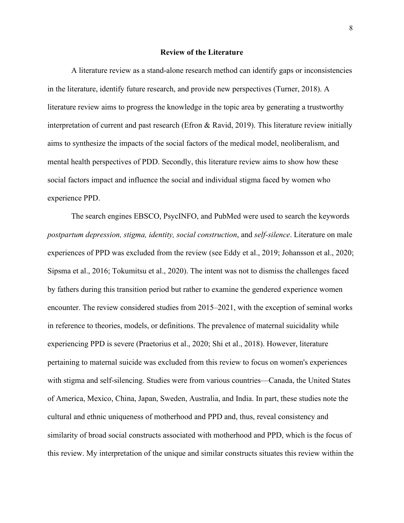## **Review of the Literature**

A literature review as a stand-alone research method can identify gaps or inconsistencies in the literature, identify future research, and provide new perspectives (Turner, 2018). A literature review aims to progress the knowledge in the topic area by generating a trustworthy interpretation of current and past research (Efron & Ravid, 2019). This literature review initially aims to synthesize the impacts of the social factors of the medical model, neoliberalism, and mental health perspectives of PDD. Secondly, this literature review aims to show how these social factors impact and influence the social and individual stigma faced by women who experience PPD.

The search engines EBSCO, PsycINFO, and PubMed were used to search the keywords *postpartum depression, stigma, identity, social construction*, and *self-silence*. Literature on male experiences of PPD was excluded from the review (see Eddy et al., 2019; Johansson et al., 2020; Sipsma et al., 2016; Tokumitsu et al., 2020). The intent was not to dismiss the challenges faced by fathers during this transition period but rather to examine the gendered experience women encounter. The review considered studies from 2015–2021, with the exception of seminal works in reference to theories, models, or definitions. The prevalence of maternal suicidality while experiencing PPD is severe (Praetorius et al., 2020; Shi et al., 2018). However, literature pertaining to maternal suicide was excluded from this review to focus on women's experiences with stigma and self-silencing. Studies were from various countries—Canada, the United States of America, Mexico, China, Japan, Sweden, Australia, and India. In part, these studies note the cultural and ethnic uniqueness of motherhood and PPD and, thus, reveal consistency and similarity of broad social constructs associated with motherhood and PPD, which is the focus of this review. My interpretation of the unique and similar constructs situates this review within the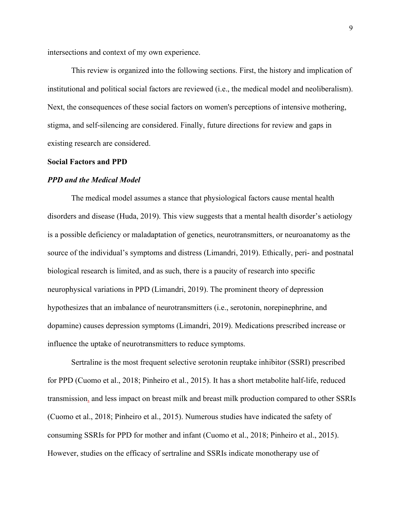intersections and context of my own experience.

This review is organized into the following sections. First, the history and implication of institutional and political social factors are reviewed (i.e., the medical model and neoliberalism). Next, the consequences of these social factors on women's perceptions of intensive mothering, stigma, and self-silencing are considered. Finally, future directions for review and gaps in existing research are considered.

## **Social Factors and PPD**

#### *PPD and the Medical Model*

The medical model assumes a stance that physiological factors cause mental health disorders and disease (Huda, 2019). This view suggests that a mental health disorder's aetiology is a possible deficiency or maladaptation of genetics, neurotransmitters, or neuroanatomy as the source of the individual's symptoms and distress (Limandri, 2019). Ethically, peri- and postnatal biological research is limited, and as such, there is a paucity of research into specific neurophysical variations in PPD (Limandri, 2019). The prominent theory of depression hypothesizes that an imbalance of neurotransmitters (i.e., serotonin, norepinephrine, and dopamine) causes depression symptoms (Limandri, 2019). Medications prescribed increase or influence the uptake of neurotransmitters to reduce symptoms.

Sertraline is the most frequent selective serotonin reuptake inhibitor (SSRI) prescribed for PPD (Cuomo et al., 2018; Pinheiro et al., 2015). It has a short metabolite half-life, reduced transmission, and less impact on breast milk and breast milk production compared to other SSRIs (Cuomo et al., 2018; Pinheiro et al., 2015). Numerous studies have indicated the safety of consuming SSRIs for PPD for mother and infant (Cuomo et al., 2018; Pinheiro et al., 2015). However, studies on the efficacy of sertraline and SSRIs indicate monotherapy use of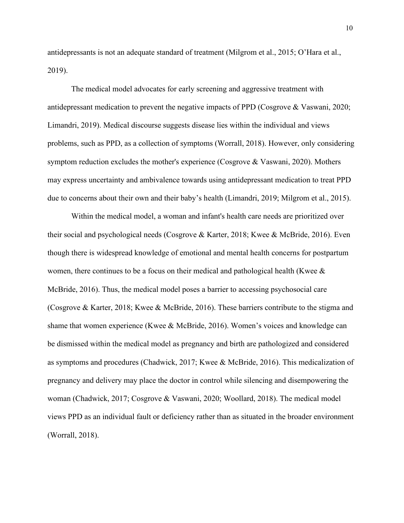antidepressants is not an adequate standard of treatment (Milgrom et al., 2015; O'Hara et al., 2019).

The medical model advocates for early screening and aggressive treatment with antidepressant medication to prevent the negative impacts of PPD (Cosgrove & Vaswani, 2020; Limandri, 2019). Medical discourse suggests disease lies within the individual and views problems, such as PPD, as a collection of symptoms (Worrall, 2018). However, only considering symptom reduction excludes the mother's experience (Cosgrove & Vaswani, 2020). Mothers may express uncertainty and ambivalence towards using antidepressant medication to treat PPD due to concerns about their own and their baby's health (Limandri, 2019; Milgrom et al., 2015).

Within the medical model, a woman and infant's health care needs are prioritized over their social and psychological needs (Cosgrove & Karter, 2018; Kwee & McBride, 2016). Even though there is widespread knowledge of emotional and mental health concerns for postpartum women, there continues to be a focus on their medical and pathological health (Kwee & McBride, 2016). Thus, the medical model poses a barrier to accessing psychosocial care (Cosgrove & Karter, 2018; Kwee & McBride, 2016). These barriers contribute to the stigma and shame that women experience (Kwee & McBride, 2016). Women's voices and knowledge can be dismissed within the medical model as pregnancy and birth are pathologized and considered as symptoms and procedures (Chadwick, 2017; Kwee & McBride, 2016). This medicalization of pregnancy and delivery may place the doctor in control while silencing and disempowering the woman (Chadwick, 2017; Cosgrove & Vaswani, 2020; Woollard, 2018). The medical model views PPD as an individual fault or deficiency rather than as situated in the broader environment (Worrall, 2018).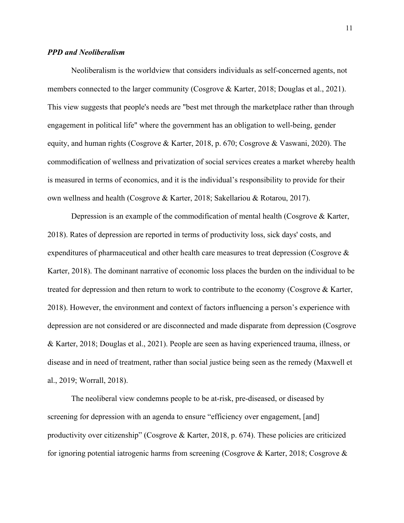# *PPD and Neoliberalism*

Neoliberalism is the worldview that considers individuals as self-concerned agents, not members connected to the larger community (Cosgrove & Karter, 2018; Douglas et al., 2021). This view suggests that people's needs are "best met through the marketplace rather than through engagement in political life" where the government has an obligation to well-being, gender equity, and human rights (Cosgrove & Karter, 2018, p. 670; Cosgrove & Vaswani, 2020). The commodification of wellness and privatization of social services creates a market whereby health is measured in terms of economics, and it is the individual's responsibility to provide for their own wellness and health (Cosgrove & Karter, 2018; Sakellariou & Rotarou, 2017).

Depression is an example of the commodification of mental health (Cosgrove & Karter, 2018). Rates of depression are reported in terms of productivity loss, sick days' costs, and expenditures of pharmaceutical and other health care measures to treat depression (Cosgrove & Karter, 2018). The dominant narrative of economic loss places the burden on the individual to be treated for depression and then return to work to contribute to the economy (Cosgrove & Karter, 2018). However, the environment and context of factors influencing a person's experience with depression are not considered or are disconnected and made disparate from depression (Cosgrove & Karter, 2018; Douglas et al., 2021). People are seen as having experienced trauma, illness, or disease and in need of treatment, rather than social justice being seen as the remedy (Maxwell et al., 2019; Worrall, 2018).

The neoliberal view condemns people to be at-risk, pre-diseased, or diseased by screening for depression with an agenda to ensure "efficiency over engagement, [and] productivity over citizenship" (Cosgrove & Karter, 2018, p. 674). These policies are criticized for ignoring potential iatrogenic harms from screening (Cosgrove & Karter, 2018; Cosgrove &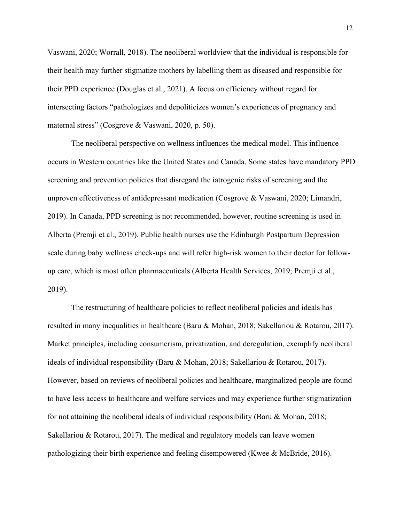Vaswani, 2020; Worrall, 2018). The neoliberal worldview that the individual is responsible for their health may further stigmatize mothers by labelling them as diseased and responsible for their PPD experience (Douglas et al., 2021). A focus on efficiency without regard for intersecting factors "pathologizes and depoliticizes women's experiences of pregnancy and maternal stress" (Cosgrove & Vaswani, 2020, p. 50).

The neoliberal perspective on wellness influences the medical model. This influence occurs in Western countries like the United States and Canada. Some states have mandatory PPD screening and prevention policies that disregard the iatrogenic risks of screening and the unproven effectiveness of antidepressant medication (Cosgrove & Vaswani, 2020; Limandri, 2019). In Canada, PPD screening is not recommended, however, routine screening is used in Alberta (Premji et al., 2019). Public health nurses use the Edinburgh Postpartum Depression scale during baby wellness check-ups and will refer high-risk women to their doctor for followup care, which is most often pharmaceuticals (Alberta Health Services, 2019; Premji et al., 2019).

The restructuring of healthcare policies to reflect neoliberal policies and ideals has resulted in many inequalities in healthcare (Baru & Mohan, 2018; Sakellariou & Rotarou, 2017). Market principles, including consumerism, privatization, and deregulation, exemplify neoliberal ideals of individual responsibility (Baru & Mohan, 2018; Sakellariou & Rotarou, 2017). However, based on reviews of neoliberal policies and healthcare, marginalized people are found to have less access to healthcare and welfare services and may experience further stigmatization for not attaining the neoliberal ideals of individual responsibility (Baru & Mohan, 2018; Sakellariou & Rotarou, 2017). The medical and regulatory models can leave women pathologizing their birth experience and feeling disempowered (Kwee & McBride, 2016).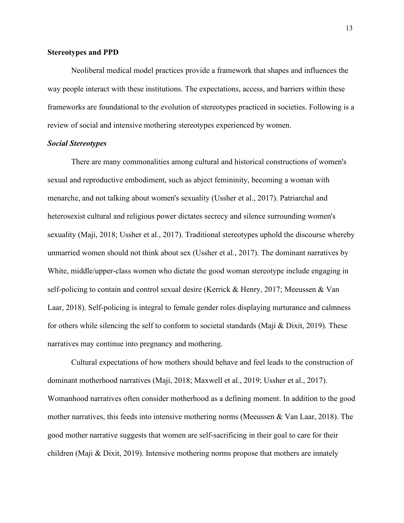# **Stereotypes and PPD**

Neoliberal medical model practices provide a framework that shapes and influences the way people interact with these institutions. The expectations, access, and barriers within these frameworks are foundational to the evolution of stereotypes practiced in societies. Following is a review of social and intensive mothering stereotypes experienced by women.

## *Social Stereotypes*

There are many commonalities among cultural and historical constructions of women's sexual and reproductive embodiment, such as abject femininity, becoming a woman with menarche, and not talking about women's sexuality (Ussher et al., 2017). Patriarchal and heterosexist cultural and religious power dictates secrecy and silence surrounding women's sexuality (Maji, 2018; Ussher et al., 2017). Traditional stereotypes uphold the discourse whereby unmarried women should not think about sex (Ussher et al., 2017). The dominant narratives by White, middle/upper-class women who dictate the good woman stereotype include engaging in self-policing to contain and control sexual desire (Kerrick & Henry, 2017; Meeussen & Van Laar, 2018). Self-policing is integral to female gender roles displaying nurturance and calmness for others while silencing the self to conform to societal standards (Maji & Dixit, 2019). These narratives may continue into pregnancy and mothering.

Cultural expectations of how mothers should behave and feel leads to the construction of dominant motherhood narratives (Maji, 2018; Maxwell et al., 2019; Ussher et al., 2017). Womanhood narratives often consider motherhood as a defining moment. In addition to the good mother narratives, this feeds into intensive mothering norms (Meeussen & Van Laar, 2018). The good mother narrative suggests that women are self-sacrificing in their goal to care for their children (Maji & Dixit, 2019). Intensive mothering norms propose that mothers are innately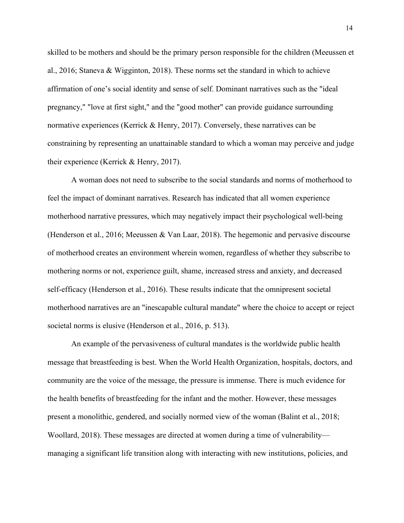skilled to be mothers and should be the primary person responsible for the children (Meeussen et al., 2016; Staneva & Wigginton, 2018). These norms set the standard in which to achieve affirmation of one's social identity and sense of self. Dominant narratives such as the "ideal pregnancy," "love at first sight," and the "good mother" can provide guidance surrounding normative experiences (Kerrick & Henry, 2017). Conversely, these narratives can be constraining by representing an unattainable standard to which a woman may perceive and judge their experience (Kerrick & Henry, 2017).

A woman does not need to subscribe to the social standards and norms of motherhood to feel the impact of dominant narratives. Research has indicated that all women experience motherhood narrative pressures, which may negatively impact their psychological well-being (Henderson et al., 2016; Meeussen & Van Laar, 2018). The hegemonic and pervasive discourse of motherhood creates an environment wherein women, regardless of whether they subscribe to mothering norms or not, experience guilt, shame, increased stress and anxiety, and decreased self-efficacy (Henderson et al., 2016). These results indicate that the omnipresent societal motherhood narratives are an "inescapable cultural mandate" where the choice to accept or reject societal norms is elusive (Henderson et al., 2016, p. 513).

An example of the pervasiveness of cultural mandates is the worldwide public health message that breastfeeding is best. When the World Health Organization, hospitals, doctors, and community are the voice of the message, the pressure is immense. There is much evidence for the health benefits of breastfeeding for the infant and the mother. However, these messages present a monolithic, gendered, and socially normed view of the woman (Balint et al., 2018; Woollard, 2018). These messages are directed at women during a time of vulnerability managing a significant life transition along with interacting with new institutions, policies, and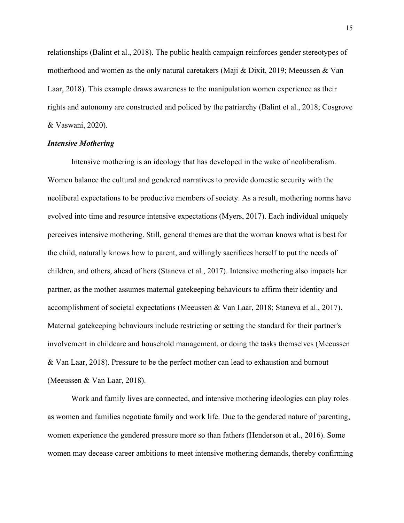relationships (Balint et al., 2018). The public health campaign reinforces gender stereotypes of motherhood and women as the only natural caretakers (Maji & Dixit, 2019; Meeussen & Van Laar, 2018). This example draws awareness to the manipulation women experience as their rights and autonomy are constructed and policed by the patriarchy (Balint et al., 2018; Cosgrove & Vaswani, 2020).

# *Intensive Mothering*

Intensive mothering is an ideology that has developed in the wake of neoliberalism. Women balance the cultural and gendered narratives to provide domestic security with the neoliberal expectations to be productive members of society. As a result, mothering norms have evolved into time and resource intensive expectations (Myers, 2017). Each individual uniquely perceives intensive mothering. Still, general themes are that the woman knows what is best for the child, naturally knows how to parent, and willingly sacrifices herself to put the needs of children, and others, ahead of hers (Staneva et al., 2017). Intensive mothering also impacts her partner, as the mother assumes maternal gatekeeping behaviours to affirm their identity and accomplishment of societal expectations (Meeussen & Van Laar, 2018; Staneva et al., 2017). Maternal gatekeeping behaviours include restricting or setting the standard for their partner's involvement in childcare and household management, or doing the tasks themselves (Meeussen & Van Laar, 2018). Pressure to be the perfect mother can lead to exhaustion and burnout (Meeussen & Van Laar, 2018).

Work and family lives are connected, and intensive mothering ideologies can play roles as women and families negotiate family and work life. Due to the gendered nature of parenting, women experience the gendered pressure more so than fathers (Henderson et al., 2016). Some women may decease career ambitions to meet intensive mothering demands, thereby confirming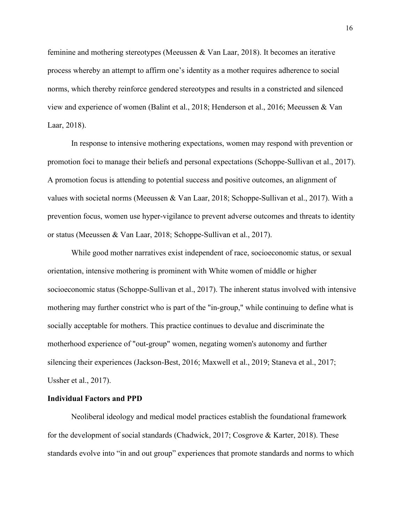feminine and mothering stereotypes (Meeussen & Van Laar, 2018). It becomes an iterative process whereby an attempt to affirm one's identity as a mother requires adherence to social norms, which thereby reinforce gendered stereotypes and results in a constricted and silenced view and experience of women (Balint et al., 2018; Henderson et al., 2016; Meeussen & Van Laar, 2018).

In response to intensive mothering expectations, women may respond with prevention or promotion foci to manage their beliefs and personal expectations (Schoppe-Sullivan et al., 2017). A promotion focus is attending to potential success and positive outcomes, an alignment of values with societal norms (Meeussen & Van Laar, 2018; Schoppe-Sullivan et al., 2017). With a prevention focus, women use hyper-vigilance to prevent adverse outcomes and threats to identity or status (Meeussen & Van Laar, 2018; Schoppe-Sullivan et al., 2017).

While good mother narratives exist independent of race, socioeconomic status, or sexual orientation, intensive mothering is prominent with White women of middle or higher socioeconomic status (Schoppe-Sullivan et al., 2017). The inherent status involved with intensive mothering may further constrict who is part of the "in-group," while continuing to define what is socially acceptable for mothers. This practice continues to devalue and discriminate the motherhood experience of "out-group" women, negating women's autonomy and further silencing their experiences (Jackson-Best, 2016; Maxwell et al., 2019; Staneva et al., 2017; Ussher et al., 2017).

## **Individual Factors and PPD**

Neoliberal ideology and medical model practices establish the foundational framework for the development of social standards (Chadwick, 2017; Cosgrove & Karter, 2018). These standards evolve into "in and out group" experiences that promote standards and norms to which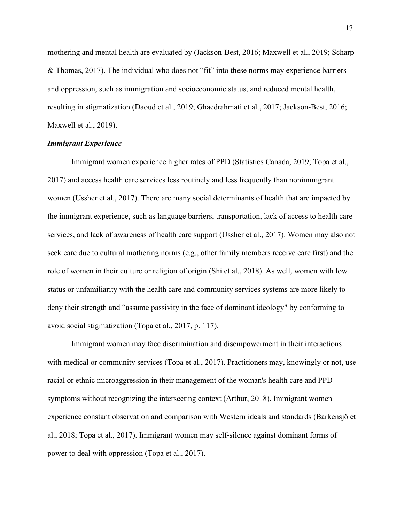mothering and mental health are evaluated by (Jackson-Best, 2016; Maxwell et al., 2019; Scharp & Thomas, 2017). The individual who does not "fit" into these norms may experience barriers and oppression, such as immigration and socioeconomic status, and reduced mental health, resulting in stigmatization (Daoud et al., 2019; Ghaedrahmati et al., 2017; Jackson-Best, 2016; Maxwell et al., 2019).

## *Immigrant Experience*

Immigrant women experience higher rates of PPD (Statistics Canada, 2019; Topa et al., 2017) and access health care services less routinely and less frequently than nonimmigrant women (Ussher et al., 2017). There are many social determinants of health that are impacted by the immigrant experience, such as language barriers, transportation, lack of access to health care services, and lack of awareness of health care support (Ussher et al., 2017). Women may also not seek care due to cultural mothering norms (e.g., other family members receive care first) and the role of women in their culture or religion of origin (Shi et al., 2018). As well, women with low status or unfamiliarity with the health care and community services systems are more likely to deny their strength and "assume passivity in the face of dominant ideology" by conforming to avoid social stigmatization (Topa et al., 2017, p. 117).

Immigrant women may face discrimination and disempowerment in their interactions with medical or community services (Topa et al., 2017). Practitioners may, knowingly or not, use racial or ethnic microaggression in their management of the woman's health care and PPD symptoms without recognizing the intersecting context (Arthur, 2018). Immigrant women experience constant observation and comparison with Western ideals and standards (Barkensjö et al., 2018; Topa et al., 2017). Immigrant women may self-silence against dominant forms of power to deal with oppression (Topa et al., 2017).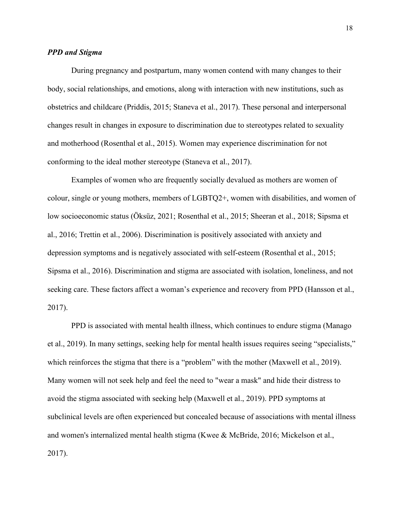# *PPD and Stigma*

During pregnancy and postpartum, many women contend with many changes to their body, social relationships, and emotions, along with interaction with new institutions, such as obstetrics and childcare (Priddis, 2015; Staneva et al., 2017). These personal and interpersonal changes result in changes in exposure to discrimination due to stereotypes related to sexuality and motherhood (Rosenthal et al., 2015). Women may experience discrimination for not conforming to the ideal mother stereotype (Staneva et al., 2017).

Examples of women who are frequently socially devalued as mothers are women of colour, single or young mothers, members of LGBTQ2+, women with disabilities, and women of low socioeconomic status (Öksüz, 2021; Rosenthal et al., 2015; Sheeran et al., 2018; Sipsma et al., 2016; Trettin et al., 2006). Discrimination is positively associated with anxiety and depression symptoms and is negatively associated with self-esteem (Rosenthal et al., 2015; Sipsma et al., 2016). Discrimination and stigma are associated with isolation, loneliness, and not seeking care. These factors affect a woman's experience and recovery from PPD (Hansson et al., 2017).

PPD is associated with mental health illness, which continues to endure stigma (Manago et al., 2019). In many settings, seeking help for mental health issues requires seeing "specialists," which reinforces the stigma that there is a "problem" with the mother (Maxwell et al., 2019). Many women will not seek help and feel the need to "wear a mask" and hide their distress to avoid the stigma associated with seeking help (Maxwell et al., 2019). PPD symptoms at subclinical levels are often experienced but concealed because of associations with mental illness and women's internalized mental health stigma (Kwee & McBride, 2016; Mickelson et al., 2017).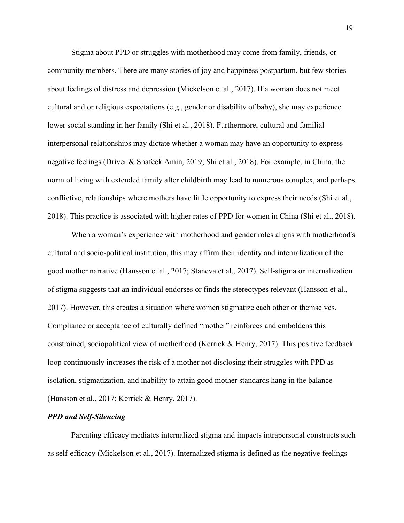Stigma about PPD or struggles with motherhood may come from family, friends, or community members. There are many stories of joy and happiness postpartum, but few stories about feelings of distress and depression (Mickelson et al., 2017). If a woman does not meet cultural and or religious expectations (e.g., gender or disability of baby), she may experience lower social standing in her family (Shi et al., 2018). Furthermore, cultural and familial interpersonal relationships may dictate whether a woman may have an opportunity to express negative feelings (Driver & Shafeek Amin, 2019; Shi et al., 2018). For example, in China, the norm of living with extended family after childbirth may lead to numerous complex, and perhaps conflictive, relationships where mothers have little opportunity to express their needs (Shi et al., 2018). This practice is associated with higher rates of PPD for women in China (Shi et al., 2018).

When a woman's experience with motherhood and gender roles aligns with motherhood's cultural and socio-political institution, this may affirm their identity and internalization of the good mother narrative (Hansson et al., 2017; Staneva et al., 2017). Self-stigma or internalization of stigma suggests that an individual endorses or finds the stereotypes relevant (Hansson et al., 2017). However, this creates a situation where women stigmatize each other or themselves. Compliance or acceptance of culturally defined "mother" reinforces and emboldens this constrained, sociopolitical view of motherhood (Kerrick & Henry, 2017). This positive feedback loop continuously increases the risk of a mother not disclosing their struggles with PPD as isolation, stigmatization, and inability to attain good mother standards hang in the balance (Hansson et al., 2017; Kerrick & Henry, 2017).

## *PPD and Self-Silencing*

 Parenting efficacy mediates internalized stigma and impacts intrapersonal constructs such as self-efficacy (Mickelson et al., 2017). Internalized stigma is defined as the negative feelings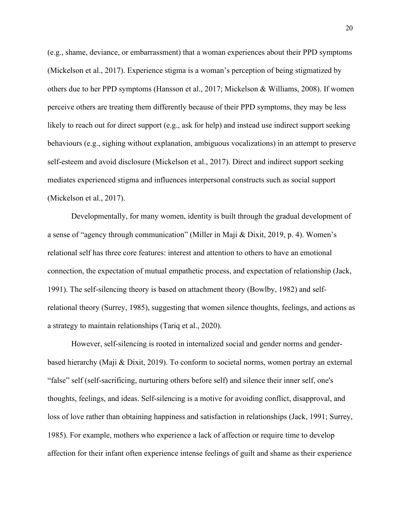(e.g., shame, deviance, or embarrassment) that a woman experiences about their PPD symptoms (Mickelson et al., 2017). Experience stigma is a woman's perception of being stigmatized by others due to her PPD symptoms (Hansson et al., 2017; Mickelson & Williams, 2008). If women perceive others are treating them differently because of their PPD symptoms, they may be less likely to reach out for direct support (e.g., ask for help) and instead use indirect support seeking behaviours (e.g., sighing without explanation, ambiguous vocalizations) in an attempt to preserve self-esteem and avoid disclosure (Mickelson et al., 2017). Direct and indirect support seeking mediates experienced stigma and influences interpersonal constructs such as social support (Mickelson et al., 2017).

Developmentally, for many women, identity is built through the gradual development of a sense of "agency through communication" (Miller in Maji & Dixit, 2019, p. 4). Women's relational self has three core features: interest and attention to others to have an emotional connection, the expectation of mutual empathetic process, and expectation of relationship (Jack, 1991). The self-silencing theory is based on attachment theory (Bowlby, 1982) and selfrelational theory (Surrey, 1985), suggesting that women silence thoughts, feelings, and actions as a strategy to maintain relationships (Tariq et al., 2020).

However, self-silencing is rooted in internalized social and gender norms and genderbased hierarchy (Maji & Dixit, 2019). To conform to societal norms, women portray an external "false" self (self-sacrificing, nurturing others before self) and silence their inner self, one's thoughts, feelings, and ideas. Self-silencing is a motive for avoiding conflict, disapproval, and loss of love rather than obtaining happiness and satisfaction in relationships (Jack, 1991; Surrey, 1985). For example, mothers who experience a lack of affection or require time to develop affection for their infant often experience intense feelings of guilt and shame as their experience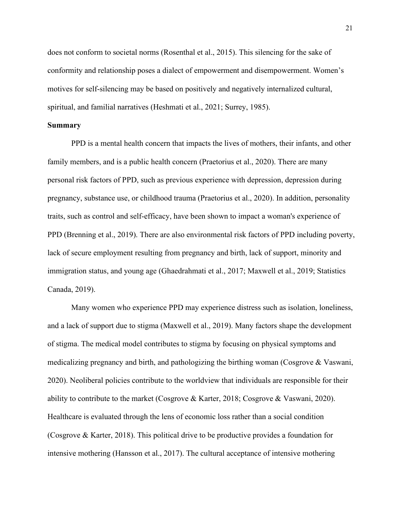does not conform to societal norms (Rosenthal et al., 2015). This silencing for the sake of conformity and relationship poses a dialect of empowerment and disempowerment. Women's motives for self-silencing may be based on positively and negatively internalized cultural, spiritual, and familial narratives (Heshmati et al., 2021; Surrey, 1985).

#### **Summary**

PPD is a mental health concern that impacts the lives of mothers, their infants, and other family members, and is a public health concern (Praetorius et al., 2020). There are many personal risk factors of PPD, such as previous experience with depression, depression during pregnancy, substance use, or childhood trauma (Praetorius et al., 2020). In addition, personality traits, such as control and self-efficacy, have been shown to impact a woman's experience of PPD (Brenning et al., 2019). There are also environmental risk factors of PPD including poverty, lack of secure employment resulting from pregnancy and birth, lack of support, minority and immigration status, and young age (Ghaedrahmati et al., 2017; Maxwell et al., 2019; Statistics Canada, 2019).

Many women who experience PPD may experience distress such as isolation, loneliness, and a lack of support due to stigma (Maxwell et al., 2019). Many factors shape the development of stigma. The medical model contributes to stigma by focusing on physical symptoms and medicalizing pregnancy and birth, and pathologizing the birthing woman (Cosgrove & Vaswani, 2020). Neoliberal policies contribute to the worldview that individuals are responsible for their ability to contribute to the market (Cosgrove & Karter, 2018; Cosgrove & Vaswani, 2020). Healthcare is evaluated through the lens of economic loss rather than a social condition (Cosgrove & Karter, 2018). This political drive to be productive provides a foundation for intensive mothering (Hansson et al., 2017). The cultural acceptance of intensive mothering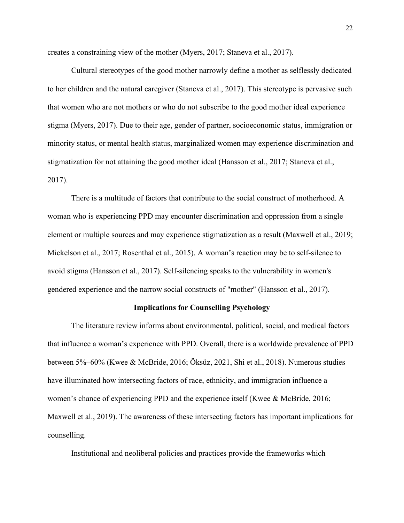creates a constraining view of the mother (Myers, 2017; Staneva et al., 2017).

Cultural stereotypes of the good mother narrowly define a mother as selflessly dedicated to her children and the natural caregiver (Staneva et al., 2017). This stereotype is pervasive such that women who are not mothers or who do not subscribe to the good mother ideal experience stigma (Myers, 2017). Due to their age, gender of partner, socioeconomic status, immigration or minority status, or mental health status, marginalized women may experience discrimination and stigmatization for not attaining the good mother ideal (Hansson et al., 2017; Staneva et al., 2017).

There is a multitude of factors that contribute to the social construct of motherhood. A woman who is experiencing PPD may encounter discrimination and oppression from a single element or multiple sources and may experience stigmatization as a result (Maxwell et al., 2019; Mickelson et al., 2017; Rosenthal et al., 2015). A woman's reaction may be to self-silence to avoid stigma (Hansson et al., 2017). Self-silencing speaks to the vulnerability in women's gendered experience and the narrow social constructs of "mother" (Hansson et al., 2017).

## **Implications for Counselling Psychology**

The literature review informs about environmental, political, social, and medical factors that influence a woman's experience with PPD. Overall, there is a worldwide prevalence of PPD between 5%–60% (Kwee & McBride, 2016; Öksüz, 2021, Shi et al., 2018). Numerous studies have illuminated how intersecting factors of race, ethnicity, and immigration influence a women's chance of experiencing PPD and the experience itself (Kwee & McBride, 2016; Maxwell et al., 2019). The awareness of these intersecting factors has important implications for counselling.

Institutional and neoliberal policies and practices provide the frameworks which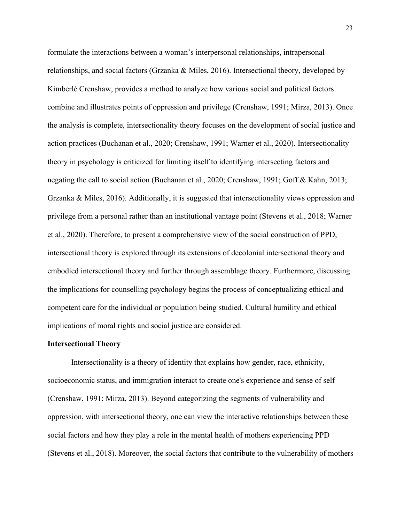formulate the interactions between a woman's interpersonal relationships, intrapersonal relationships, and social factors (Grzanka & Miles, 2016). Intersectional theory, developed by Kimberlé Crenshaw, provides a method to analyze how various social and political factors combine and illustrates points of oppression and privilege (Crenshaw, 1991; Mirza, 2013). Once the analysis is complete, intersectionality theory focuses on the development of social justice and action practices (Buchanan et al., 2020; Crenshaw, 1991; Warner et al., 2020). Intersectionality theory in psychology is criticized for limiting itself to identifying intersecting factors and negating the call to social action (Buchanan et al., 2020; Crenshaw, 1991; Goff & Kahn, 2013; Grzanka & Miles, 2016). Additionally, it is suggested that intersectionality views oppression and privilege from a personal rather than an institutional vantage point (Stevens et al., 2018; Warner et al., 2020). Therefore, to present a comprehensive view of the social construction of PPD, intersectional theory is explored through its extensions of decolonial intersectional theory and embodied intersectional theory and further through assemblage theory. Furthermore, discussing the implications for counselling psychology begins the process of conceptualizing ethical and competent care for the individual or population being studied. Cultural humility and ethical implications of moral rights and social justice are considered.

## **Intersectional Theory**

Intersectionality is a theory of identity that explains how gender, race, ethnicity, socioeconomic status, and immigration interact to create one's experience and sense of self (Crenshaw, 1991; Mirza, 2013). Beyond categorizing the segments of vulnerability and oppression, with intersectional theory, one can view the interactive relationships between these social factors and how they play a role in the mental health of mothers experiencing PPD (Stevens et al., 2018). Moreover, the social factors that contribute to the vulnerability of mothers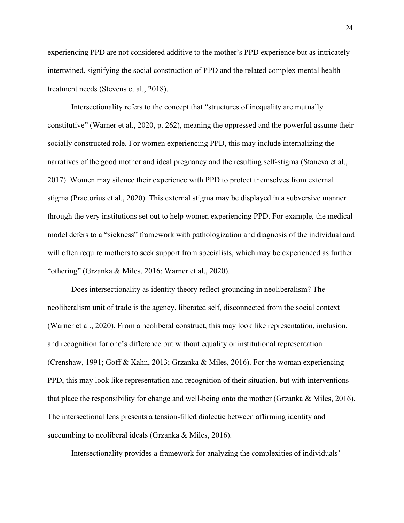experiencing PPD are not considered additive to the mother's PPD experience but as intricately intertwined, signifying the social construction of PPD and the related complex mental health treatment needs (Stevens et al., 2018).

Intersectionality refers to the concept that "structures of inequality are mutually constitutive" (Warner et al., 2020, p. 262), meaning the oppressed and the powerful assume their socially constructed role. For women experiencing PPD, this may include internalizing the narratives of the good mother and ideal pregnancy and the resulting self-stigma (Staneva et al., 2017). Women may silence their experience with PPD to protect themselves from external stigma (Praetorius et al., 2020). This external stigma may be displayed in a subversive manner through the very institutions set out to help women experiencing PPD. For example, the medical model defers to a "sickness" framework with pathologization and diagnosis of the individual and will often require mothers to seek support from specialists, which may be experienced as further "othering" (Grzanka & Miles, 2016; Warner et al., 2020).

Does intersectionality as identity theory reflect grounding in neoliberalism? The neoliberalism unit of trade is the agency, liberated self, disconnected from the social context (Warner et al., 2020). From a neoliberal construct, this may look like representation, inclusion, and recognition for one's difference but without equality or institutional representation (Crenshaw, 1991; Goff & Kahn, 2013; Grzanka & Miles, 2016). For the woman experiencing PPD, this may look like representation and recognition of their situation, but with interventions that place the responsibility for change and well-being onto the mother (Grzanka & Miles, 2016). The intersectional lens presents a tension-filled dialectic between affirming identity and succumbing to neoliberal ideals (Grzanka & Miles, 2016).

Intersectionality provides a framework for analyzing the complexities of individuals'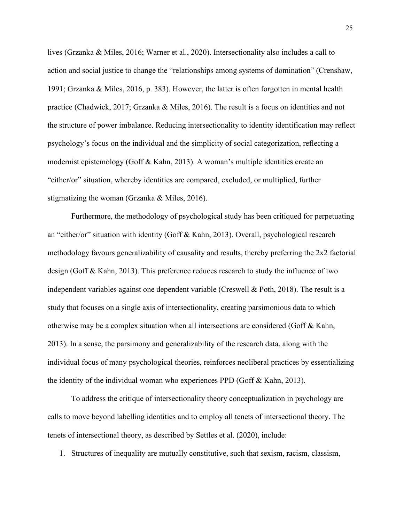lives (Grzanka & Miles, 2016; Warner et al., 2020). Intersectionality also includes a call to action and social justice to change the "relationships among systems of domination" (Crenshaw, 1991; Grzanka & Miles, 2016, p. 383). However, the latter is often forgotten in mental health practice (Chadwick, 2017; Grzanka & Miles, 2016). The result is a focus on identities and not the structure of power imbalance. Reducing intersectionality to identity identification may reflect psychology's focus on the individual and the simplicity of social categorization, reflecting a modernist epistemology (Goff & Kahn, 2013). A woman's multiple identities create an "either/or" situation, whereby identities are compared, excluded, or multiplied, further stigmatizing the woman (Grzanka & Miles, 2016).

Furthermore, the methodology of psychological study has been critiqued for perpetuating an "either/or" situation with identity (Goff & Kahn, 2013). Overall, psychological research methodology favours generalizability of causality and results, thereby preferring the 2x2 factorial design (Goff & Kahn, 2013). This preference reduces research to study the influence of two independent variables against one dependent variable (Creswell & Poth, 2018). The result is a study that focuses on a single axis of intersectionality, creating parsimonious data to which otherwise may be a complex situation when all intersections are considered (Goff & Kahn, 2013). In a sense, the parsimony and generalizability of the research data, along with the individual focus of many psychological theories, reinforces neoliberal practices by essentializing the identity of the individual woman who experiences PPD (Goff & Kahn, 2013).

To address the critique of intersectionality theory conceptualization in psychology are calls to move beyond labelling identities and to employ all tenets of intersectional theory. The tenets of intersectional theory, as described by Settles et al. (2020), include:

1. Structures of inequality are mutually constitutive, such that sexism, racism, classism,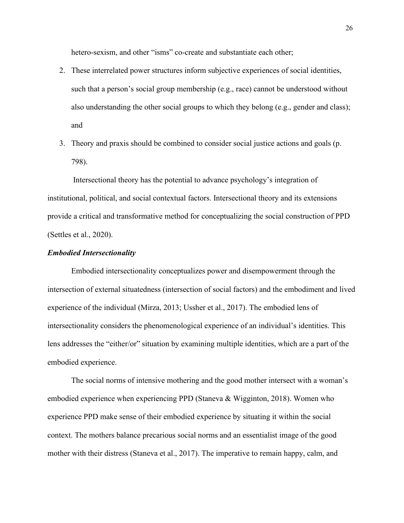hetero-sexism, and other "isms" co-create and substantiate each other;

- 2. These interrelated power structures inform subjective experiences of social identities, such that a person's social group membership (e.g., race) cannot be understood without also understanding the other social groups to which they belong (e.g., gender and class); and
- 3. Theory and praxis should be combined to consider social justice actions and goals (p. 798).

Intersectional theory has the potential to advance psychology's integration of institutional, political, and social contextual factors. Intersectional theory and its extensions provide a critical and transformative method for conceptualizing the social construction of PPD (Settles et al., 2020).

# *Embodied Intersectionality*

Embodied intersectionality conceptualizes power and disempowerment through the intersection of external situatedness (intersection of social factors) and the embodiment and lived experience of the individual (Mirza, 2013; Ussher et al., 2017). The embodied lens of intersectionality considers the phenomenological experience of an individual's identities. This lens addresses the "either/or" situation by examining multiple identities, which are a part of the embodied experience.

The social norms of intensive mothering and the good mother intersect with a woman's embodied experience when experiencing PPD (Staneva & Wigginton, 2018). Women who experience PPD make sense of their embodied experience by situating it within the social context. The mothers balance precarious social norms and an essentialist image of the good mother with their distress (Staneva et al., 2017). The imperative to remain happy, calm, and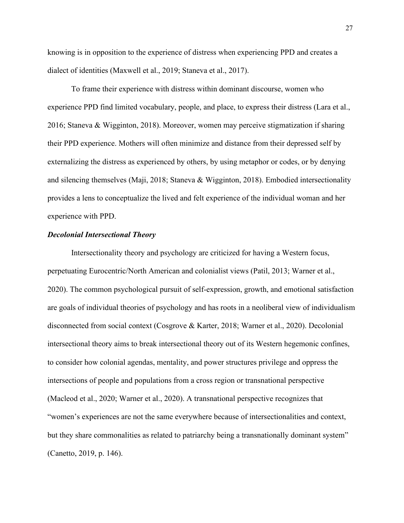knowing is in opposition to the experience of distress when experiencing PPD and creates a dialect of identities (Maxwell et al., 2019; Staneva et al., 2017).

To frame their experience with distress within dominant discourse, women who experience PPD find limited vocabulary, people, and place, to express their distress (Lara et al., 2016; Staneva & Wigginton, 2018). Moreover, women may perceive stigmatization if sharing their PPD experience. Mothers will often minimize and distance from their depressed self by externalizing the distress as experienced by others, by using metaphor or codes, or by denying and silencing themselves (Maji, 2018; Staneva & Wigginton, 2018). Embodied intersectionality provides a lens to conceptualize the lived and felt experience of the individual woman and her experience with PPD.

# *Decolonial Intersectional Theory*

Intersectionality theory and psychology are criticized for having a Western focus, perpetuating Eurocentric/North American and colonialist views (Patil, 2013; Warner et al., 2020). The common psychological pursuit of self-expression, growth, and emotional satisfaction are goals of individual theories of psychology and has roots in a neoliberal view of individualism disconnected from social context (Cosgrove & Karter, 2018; Warner et al., 2020). Decolonial intersectional theory aims to break intersectional theory out of its Western hegemonic confines, to consider how colonial agendas, mentality, and power structures privilege and oppress the intersections of people and populations from a cross region or transnational perspective (Macleod et al., 2020; Warner et al., 2020). A transnational perspective recognizes that "women's experiences are not the same everywhere because of intersectionalities and context, but they share commonalities as related to patriarchy being a transnationally dominant system" (Canetto, 2019, p. 146).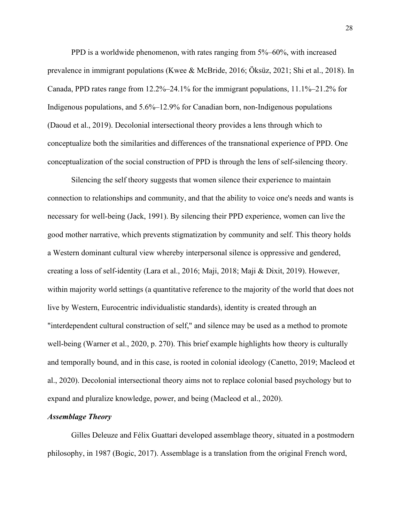PPD is a worldwide phenomenon, with rates ranging from 5%–60%, with increased prevalence in immigrant populations (Kwee & McBride, 2016; Öksüz, 2021; Shi et al., 2018). In Canada, PPD rates range from 12.2%–24.1% for the immigrant populations, 11.1%–21.2% for Indigenous populations, and 5.6%–12.9% for Canadian born, non-Indigenous populations (Daoud et al., 2019). Decolonial intersectional theory provides a lens through which to conceptualize both the similarities and differences of the transnational experience of PPD. One conceptualization of the social construction of PPD is through the lens of self-silencing theory.

Silencing the self theory suggests that women silence their experience to maintain connection to relationships and community, and that the ability to voice one's needs and wants is necessary for well-being (Jack, 1991). By silencing their PPD experience, women can live the good mother narrative, which prevents stigmatization by community and self. This theory holds a Western dominant cultural view whereby interpersonal silence is oppressive and gendered, creating a loss of self-identity (Lara et al., 2016; Maji, 2018; Maji & Dixit, 2019). However, within majority world settings (a quantitative reference to the majority of the world that does not live by Western, Eurocentric individualistic standards), identity is created through an "interdependent cultural construction of self," and silence may be used as a method to promote well-being (Warner et al., 2020, p. 270). This brief example highlights how theory is culturally and temporally bound, and in this case, is rooted in colonial ideology (Canetto, 2019; Macleod et al., 2020). Decolonial intersectional theory aims not to replace colonial based psychology but to expand and pluralize knowledge, power, and being (Macleod et al., 2020).

## *Assemblage Theory*

Gilles Deleuze and Félix Guattari developed assemblage theory, situated in a postmodern philosophy, in 1987 (Bogic, 2017). Assemblage is a translation from the original French word,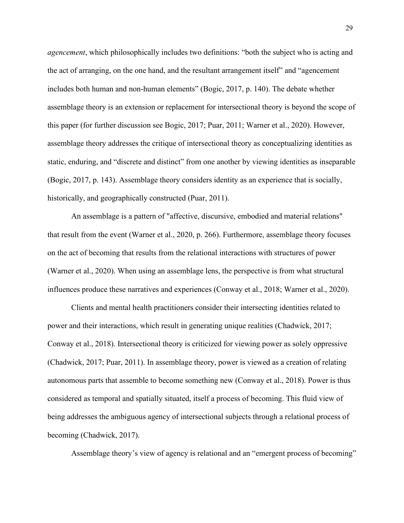*agencement*, which philosophically includes two definitions: "both the subject who is acting and the act of arranging, on the one hand, and the resultant arrangement itself" and "agencement includes both human and non-human elements" (Bogic, 2017, p. 140). The debate whether assemblage theory is an extension or replacement for intersectional theory is beyond the scope of this paper (for further discussion see Bogic, 2017; Puar, 2011; Warner et al., 2020). However, assemblage theory addresses the critique of intersectional theory as conceptualizing identities as static, enduring, and "discrete and distinct" from one another by viewing identities as inseparable (Bogic, 2017, p. 143). Assemblage theory considers identity as an experience that is socially, historically, and geographically constructed (Puar, 2011).

An assemblage is a pattern of "affective, discursive, embodied and material relations" that result from the event (Warner et al., 2020, p. 266). Furthermore, assemblage theory focuses on the act of becoming that results from the relational interactions with structures of power (Warner et al., 2020). When using an assemblage lens, the perspective is from what structural influences produce these narratives and experiences (Conway et al., 2018; Warner et al., 2020).

Clients and mental health practitioners consider their intersecting identities related to power and their interactions, which result in generating unique realities (Chadwick, 2017; Conway et al., 2018). Intersectional theory is criticized for viewing power as solely oppressive (Chadwick, 2017; Puar, 2011). In assemblage theory, power is viewed as a creation of relating autonomous parts that assemble to become something new (Conway et al., 2018). Power is thus considered as temporal and spatially situated, itself a process of becoming. This fluid view of being addresses the ambiguous agency of intersectional subjects through a relational process of becoming (Chadwick, 2017).

Assemblage theory's view of agency is relational and an "emergent process of becoming"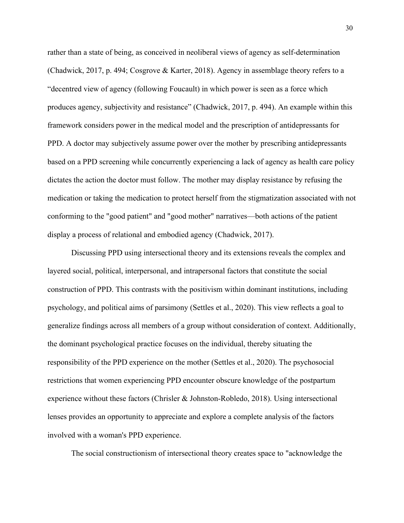rather than a state of being, as conceived in neoliberal views of agency as self-determination (Chadwick, 2017, p. 494; Cosgrove & Karter, 2018). Agency in assemblage theory refers to a "decentred view of agency (following Foucault) in which power is seen as a force which produces agency, subjectivity and resistance" (Chadwick, 2017, p. 494). An example within this framework considers power in the medical model and the prescription of antidepressants for PPD. A doctor may subjectively assume power over the mother by prescribing antidepressants based on a PPD screening while concurrently experiencing a lack of agency as health care policy dictates the action the doctor must follow. The mother may display resistance by refusing the medication or taking the medication to protect herself from the stigmatization associated with not conforming to the "good patient" and "good mother" narratives—both actions of the patient display a process of relational and embodied agency (Chadwick, 2017).

Discussing PPD using intersectional theory and its extensions reveals the complex and layered social, political, interpersonal, and intrapersonal factors that constitute the social construction of PPD. This contrasts with the positivism within dominant institutions, including psychology, and political aims of parsimony (Settles et al., 2020). This view reflects a goal to generalize findings across all members of a group without consideration of context. Additionally, the dominant psychological practice focuses on the individual, thereby situating the responsibility of the PPD experience on the mother (Settles et al., 2020). The psychosocial restrictions that women experiencing PPD encounter obscure knowledge of the postpartum experience without these factors (Chrisler & Johnston-Robledo, 2018). Using intersectional lenses provides an opportunity to appreciate and explore a complete analysis of the factors involved with a woman's PPD experience.

The social constructionism of intersectional theory creates space to "acknowledge the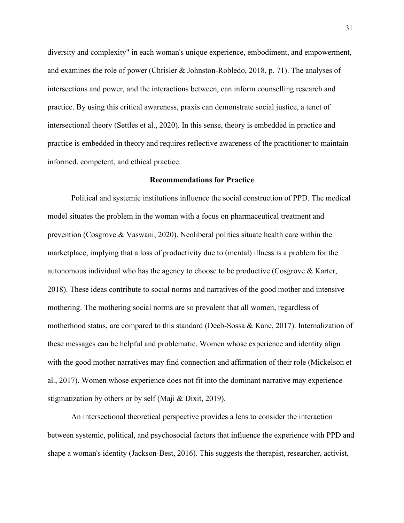diversity and complexity" in each woman's unique experience, embodiment, and empowerment, and examines the role of power (Chrisler & Johnston-Robledo, 2018, p. 71). The analyses of intersections and power, and the interactions between, can inform counselling research and practice. By using this critical awareness, praxis can demonstrate social justice, a tenet of intersectional theory (Settles et al., 2020). In this sense, theory is embedded in practice and practice is embedded in theory and requires reflective awareness of the practitioner to maintain informed, competent, and ethical practice.

## **Recommendations for Practice**

Political and systemic institutions influence the social construction of PPD. The medical model situates the problem in the woman with a focus on pharmaceutical treatment and prevention (Cosgrove & Vaswani, 2020). Neoliberal politics situate health care within the marketplace, implying that a loss of productivity due to (mental) illness is a problem for the autonomous individual who has the agency to choose to be productive (Cosgrove & Karter, 2018). These ideas contribute to social norms and narratives of the good mother and intensive mothering. The mothering social norms are so prevalent that all women, regardless of motherhood status, are compared to this standard (Deeb-Sossa & Kane, 2017). Internalization of these messages can be helpful and problematic. Women whose experience and identity align with the good mother narratives may find connection and affirmation of their role (Mickelson et al., 2017). Women whose experience does not fit into the dominant narrative may experience stigmatization by others or by self (Maji & Dixit, 2019).

An intersectional theoretical perspective provides a lens to consider the interaction between systemic, political, and psychosocial factors that influence the experience with PPD and shape a woman's identity (Jackson-Best, 2016). This suggests the therapist, researcher, activist,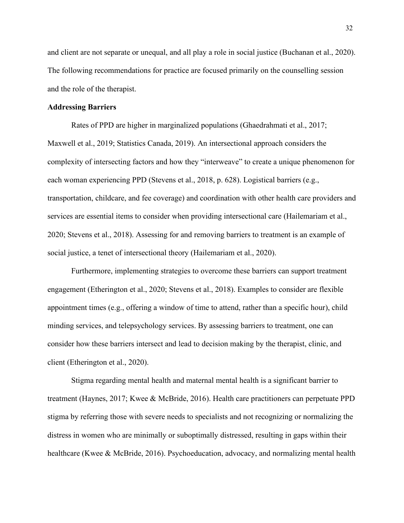and client are not separate or unequal, and all play a role in social justice (Buchanan et al., 2020). The following recommendations for practice are focused primarily on the counselling session and the role of the therapist.

# **Addressing Barriers**

Rates of PPD are higher in marginalized populations (Ghaedrahmati et al., 2017; Maxwell et al., 2019; Statistics Canada, 2019). An intersectional approach considers the complexity of intersecting factors and how they "interweave" to create a unique phenomenon for each woman experiencing PPD (Stevens et al., 2018, p. 628). Logistical barriers (e.g., transportation, childcare, and fee coverage) and coordination with other health care providers and services are essential items to consider when providing intersectional care (Hailemariam et al., 2020; Stevens et al., 2018). Assessing for and removing barriers to treatment is an example of social justice, a tenet of intersectional theory (Hailemariam et al., 2020).

Furthermore, implementing strategies to overcome these barriers can support treatment engagement (Etherington et al., 2020; Stevens et al., 2018). Examples to consider are flexible appointment times (e.g., offering a window of time to attend, rather than a specific hour), child minding services, and telepsychology services. By assessing barriers to treatment, one can consider how these barriers intersect and lead to decision making by the therapist, clinic, and client (Etherington et al., 2020).

Stigma regarding mental health and maternal mental health is a significant barrier to treatment (Haynes, 2017; Kwee & McBride, 2016). Health care practitioners can perpetuate PPD stigma by referring those with severe needs to specialists and not recognizing or normalizing the distress in women who are minimally or suboptimally distressed, resulting in gaps within their healthcare (Kwee & McBride, 2016). Psychoeducation, advocacy, and normalizing mental health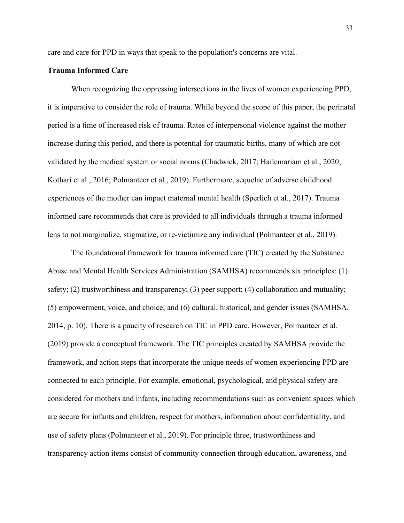care and care for PPD in ways that speak to the population's concerns are vital.

## **Trauma Informed Care**

When recognizing the oppressing intersections in the lives of women experiencing PPD, it is imperative to consider the role of trauma. While beyond the scope of this paper, the perinatal period is a time of increased risk of trauma. Rates of interpersonal violence against the mother increase during this period, and there is potential for traumatic births, many of which are not validated by the medical system or social norms (Chadwick, 2017; Hailemariam et al., 2020; Kothari et al., 2016; Polmanteer et al., 2019). Furthermore, sequelae of adverse childhood experiences of the mother can impact maternal mental health (Sperlich et al., 2017). Trauma informed care recommends that care is provided to all individuals through a trauma informed lens to not marginalize, stigmatize, or re-victimize any individual (Polmanteer et al., 2019).

The foundational framework for trauma informed care (TIC) created by the Substance Abuse and Mental Health Services Administration (SAMHSA) recommends six principles: (1) safety; (2) trustworthiness and transparency; (3) peer support; (4) collaboration and mutuality; (5) empowerment, voice, and choice; and (6) cultural, historical, and gender issues (SAMHSA, 2014, p. 10). There is a paucity of research on TIC in PPD care. However, Polmanteer et al. (2019) provide a conceptual framework. The TIC principles created by SAMHSA provide the framework, and action steps that incorporate the unique needs of women experiencing PPD are connected to each principle. For example, emotional, psychological, and physical safety are considered for mothers and infants, including recommendations such as convenient spaces which are secure for infants and children, respect for mothers, information about confidentiality, and use of safety plans (Polmanteer et al., 2019). For principle three, trustworthiness and transparency action items consist of community connection through education, awareness, and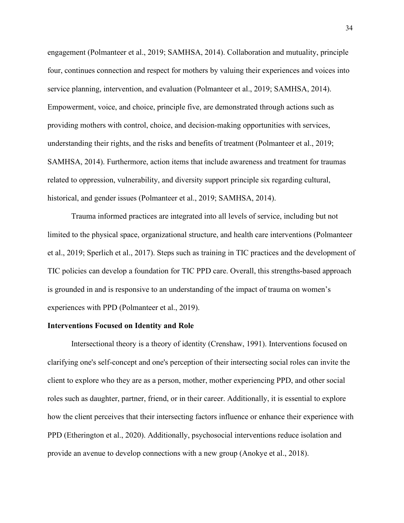engagement (Polmanteer et al., 2019; SAMHSA, 2014). Collaboration and mutuality, principle four, continues connection and respect for mothers by valuing their experiences and voices into service planning, intervention, and evaluation (Polmanteer et al., 2019; SAMHSA, 2014). Empowerment, voice, and choice, principle five, are demonstrated through actions such as providing mothers with control, choice, and decision-making opportunities with services, understanding their rights, and the risks and benefits of treatment (Polmanteer et al., 2019; SAMHSA, 2014). Furthermore, action items that include awareness and treatment for traumas related to oppression, vulnerability, and diversity support principle six regarding cultural, historical, and gender issues (Polmanteer et al., 2019; SAMHSA, 2014).

Trauma informed practices are integrated into all levels of service, including but not limited to the physical space, organizational structure, and health care interventions (Polmanteer et al., 2019; Sperlich et al., 2017). Steps such as training in TIC practices and the development of TIC policies can develop a foundation for TIC PPD care. Overall, this strengths-based approach is grounded in and is responsive to an understanding of the impact of trauma on women's experiences with PPD (Polmanteer et al., 2019).

## **Interventions Focused on Identity and Role**

Intersectional theory is a theory of identity (Crenshaw, 1991). Interventions focused on clarifying one's self-concept and one's perception of their intersecting social roles can invite the client to explore who they are as a person, mother, mother experiencing PPD, and other social roles such as daughter, partner, friend, or in their career. Additionally, it is essential to explore how the client perceives that their intersecting factors influence or enhance their experience with PPD (Etherington et al., 2020). Additionally, psychosocial interventions reduce isolation and provide an avenue to develop connections with a new group (Anokye et al., 2018).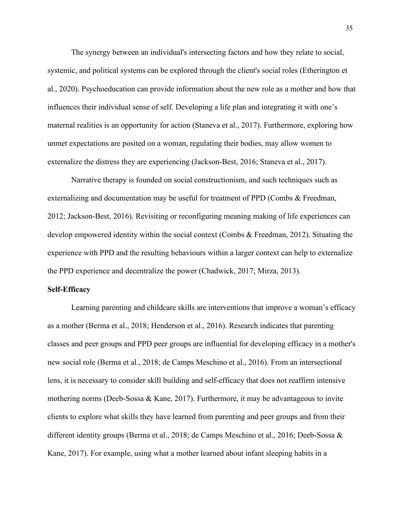The synergy between an individual's intersecting factors and how they relate to social, systemic, and political systems can be explored through the client's social roles (Etherington et al., 2020). Psychoeducation can provide information about the new role as a mother and how that influences their individual sense of self. Developing a life plan and integrating it with one's maternal realities is an opportunity for action (Staneva et al., 2017). Furthermore, exploring how unmet expectations are posited on a woman, regulating their bodies, may allow women to externalize the distress they are experiencing (Jackson-Best, 2016; Staneva et al., 2017).

Narrative therapy is founded on social constructionism, and such techniques such as externalizing and documentation may be useful for treatment of PPD (Combs & Freedman, 2012; Jackson-Best, 2016). Revisiting or reconfiguring meaning making of life experiences can develop empowered identity within the social context (Combs & Freedman, 2012). Situating the experience with PPD and the resulting behaviours within a larger context can help to externalize the PPD experience and decentralize the power (Chadwick, 2017; Mirza, 2013).

#### **Self-Efficacy**

Learning parenting and childcare skills are interventions that improve a woman's efficacy as a mother (Berma et al., 2018; Henderson et al., 2016). Research indicates that parenting classes and peer groups and PPD peer groups are influential for developing efficacy in a mother's new social role (Berma et al., 2018; de Camps Meschino et al., 2016). From an intersectional lens, it is necessary to consider skill building and self-efficacy that does not reaffirm intensive mothering norms (Deeb-Sossa & Kane, 2017). Furthermore, it may be advantageous to invite clients to explore what skills they have learned from parenting and peer groups and from their different identity groups (Berma et al., 2018; de Camps Meschino et al., 2016; Deeb-Sossa & Kane, 2017). For example, using what a mother learned about infant sleeping habits in a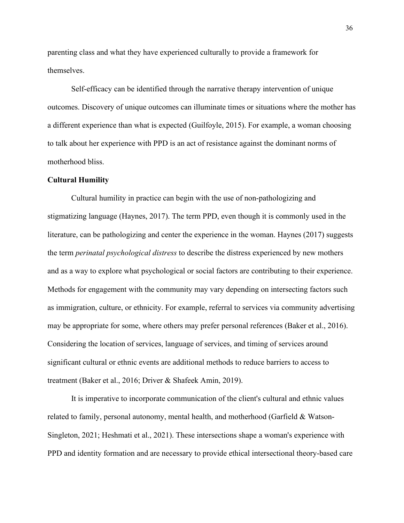parenting class and what they have experienced culturally to provide a framework for themselves.

Self-efficacy can be identified through the narrative therapy intervention of unique outcomes. Discovery of unique outcomes can illuminate times or situations where the mother has a different experience than what is expected (Guilfoyle, 2015). For example, a woman choosing to talk about her experience with PPD is an act of resistance against the dominant norms of motherhood bliss.

# **Cultural Humility**

Cultural humility in practice can begin with the use of non-pathologizing and stigmatizing language (Haynes, 2017). The term PPD, even though it is commonly used in the literature, can be pathologizing and center the experience in the woman. Haynes (2017) suggests the term *perinatal psychological distress* to describe the distress experienced by new mothers and as a way to explore what psychological or social factors are contributing to their experience. Methods for engagement with the community may vary depending on intersecting factors such as immigration, culture, or ethnicity. For example, referral to services via community advertising may be appropriate for some, where others may prefer personal references (Baker et al., 2016). Considering the location of services, language of services, and timing of services around significant cultural or ethnic events are additional methods to reduce barriers to access to treatment (Baker et al., 2016; Driver & Shafeek Amin, 2019).

It is imperative to incorporate communication of the client's cultural and ethnic values related to family, personal autonomy, mental health, and motherhood (Garfield & Watson-Singleton, 2021; Heshmati et al., 2021). These intersections shape a woman's experience with PPD and identity formation and are necessary to provide ethical intersectional theory-based care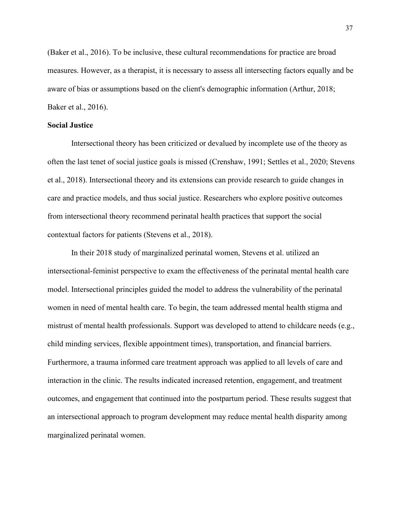(Baker et al., 2016). To be inclusive, these cultural recommendations for practice are broad measures. However, as a therapist, it is necessary to assess all intersecting factors equally and be aware of bias or assumptions based on the client's demographic information (Arthur, 2018; Baker et al., 2016).

## **Social Justice**

Intersectional theory has been criticized or devalued by incomplete use of the theory as often the last tenet of social justice goals is missed (Crenshaw, 1991; Settles et al., 2020; Stevens et al., 2018). Intersectional theory and its extensions can provide research to guide changes in care and practice models, and thus social justice. Researchers who explore positive outcomes from intersectional theory recommend perinatal health practices that support the social contextual factors for patients (Stevens et al., 2018).

In their 2018 study of marginalized perinatal women, Stevens et al. utilized an intersectional-feminist perspective to exam the effectiveness of the perinatal mental health care model. Intersectional principles guided the model to address the vulnerability of the perinatal women in need of mental health care. To begin, the team addressed mental health stigma and mistrust of mental health professionals. Support was developed to attend to childcare needs (e.g., child minding services, flexible appointment times), transportation, and financial barriers. Furthermore, a trauma informed care treatment approach was applied to all levels of care and interaction in the clinic. The results indicated increased retention, engagement, and treatment outcomes, and engagement that continued into the postpartum period. These results suggest that an intersectional approach to program development may reduce mental health disparity among marginalized perinatal women.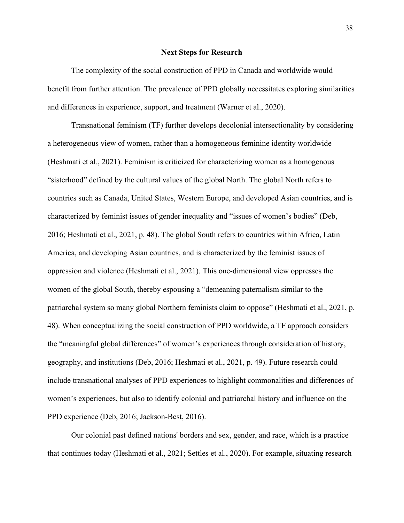#### **Next Steps for Research**

The complexity of the social construction of PPD in Canada and worldwide would benefit from further attention. The prevalence of PPD globally necessitates exploring similarities and differences in experience, support, and treatment (Warner et al., 2020).

Transnational feminism (TF) further develops decolonial intersectionality by considering a heterogeneous view of women, rather than a homogeneous feminine identity worldwide (Heshmati et al., 2021). Feminism is criticized for characterizing women as a homogenous "sisterhood" defined by the cultural values of the global North. The global North refers to countries such as Canada, United States, Western Europe, and developed Asian countries, and is characterized by feminist issues of gender inequality and "issues of women's bodies" (Deb, 2016; Heshmati et al., 2021, p. 48). The global South refers to countries within Africa, Latin America, and developing Asian countries, and is characterized by the feminist issues of oppression and violence (Heshmati et al., 2021). This one-dimensional view oppresses the women of the global South, thereby espousing a "demeaning paternalism similar to the patriarchal system so many global Northern feminists claim to oppose" (Heshmati et al., 2021, p. 48). When conceptualizing the social construction of PPD worldwide, a TF approach considers the "meaningful global differences" of women's experiences through consideration of history, geography, and institutions (Deb, 2016; Heshmati et al., 2021, p. 49). Future research could include transnational analyses of PPD experiences to highlight commonalities and differences of women's experiences, but also to identify colonial and patriarchal history and influence on the PPD experience (Deb, 2016; Jackson-Best, 2016).

Our colonial past defined nations' borders and sex, gender, and race, which is a practice that continues today (Heshmati et al., 2021; Settles et al., 2020). For example, situating research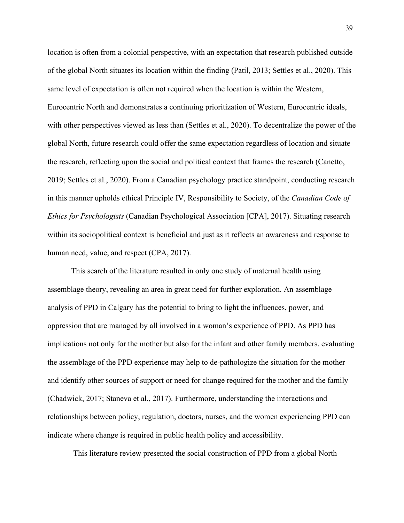location is often from a colonial perspective, with an expectation that research published outside of the global North situates its location within the finding (Patil, 2013; Settles et al., 2020). This same level of expectation is often not required when the location is within the Western, Eurocentric North and demonstrates a continuing prioritization of Western, Eurocentric ideals, with other perspectives viewed as less than (Settles et al., 2020). To decentralize the power of the global North, future research could offer the same expectation regardless of location and situate the research, reflecting upon the social and political context that frames the research (Canetto, 2019; Settles et al., 2020). From a Canadian psychology practice standpoint, conducting research in this manner upholds ethical Principle IV, Responsibility to Society, of the *Canadian Code of Ethics for Psychologists* (Canadian Psychological Association [CPA], 2017). Situating research within its sociopolitical context is beneficial and just as it reflects an awareness and response to human need, value, and respect (CPA, 2017).

This search of the literature resulted in only one study of maternal health using assemblage theory, revealing an area in great need for further exploration. An assemblage analysis of PPD in Calgary has the potential to bring to light the influences, power, and oppression that are managed by all involved in a woman's experience of PPD. As PPD has implications not only for the mother but also for the infant and other family members, evaluating the assemblage of the PPD experience may help to de-pathologize the situation for the mother and identify other sources of support or need for change required for the mother and the family (Chadwick, 2017; Staneva et al., 2017). Furthermore, understanding the interactions and relationships between policy, regulation, doctors, nurses, and the women experiencing PPD can indicate where change is required in public health policy and accessibility.

This literature review presented the social construction of PPD from a global North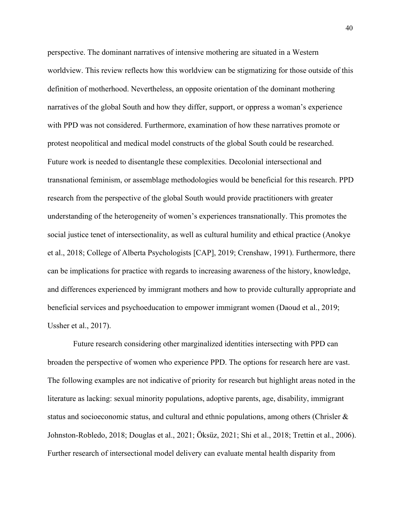perspective. The dominant narratives of intensive mothering are situated in a Western worldview. This review reflects how this worldview can be stigmatizing for those outside of this definition of motherhood. Nevertheless, an opposite orientation of the dominant mothering narratives of the global South and how they differ, support, or oppress a woman's experience with PPD was not considered. Furthermore, examination of how these narratives promote or protest neopolitical and medical model constructs of the global South could be researched. Future work is needed to disentangle these complexities. Decolonial intersectional and transnational feminism, or assemblage methodologies would be beneficial for this research. PPD research from the perspective of the global South would provide practitioners with greater understanding of the heterogeneity of women's experiences transnationally. This promotes the social justice tenet of intersectionality, as well as cultural humility and ethical practice (Anokye et al., 2018; College of Alberta Psychologists [CAP], 2019; Crenshaw, 1991). Furthermore, there can be implications for practice with regards to increasing awareness of the history, knowledge, and differences experienced by immigrant mothers and how to provide culturally appropriate and beneficial services and psychoeducation to empower immigrant women (Daoud et al., 2019; Ussher et al., 2017).

Future research considering other marginalized identities intersecting with PPD can broaden the perspective of women who experience PPD. The options for research here are vast. The following examples are not indicative of priority for research but highlight areas noted in the literature as lacking: sexual minority populations, adoptive parents, age, disability, immigrant status and socioeconomic status, and cultural and ethnic populations, among others (Chrisler & Johnston-Robledo, 2018; Douglas et al., 2021; Öksüz, 2021; Shi et al., 2018; Trettin et al., 2006). Further research of intersectional model delivery can evaluate mental health disparity from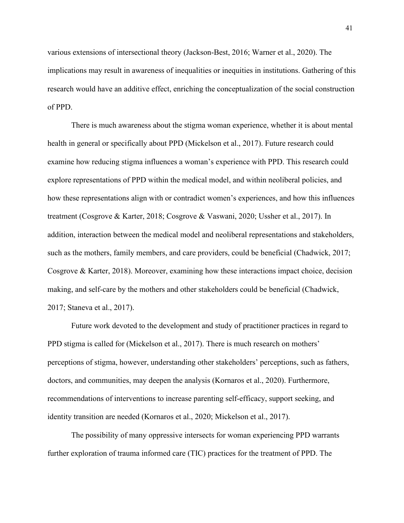various extensions of intersectional theory (Jackson-Best, 2016; Warner et al., 2020). The implications may result in awareness of inequalities or inequities in institutions. Gathering of this research would have an additive effect, enriching the conceptualization of the social construction of PPD.

There is much awareness about the stigma woman experience, whether it is about mental health in general or specifically about PPD (Mickelson et al., 2017). Future research could examine how reducing stigma influences a woman's experience with PPD. This research could explore representations of PPD within the medical model, and within neoliberal policies, and how these representations align with or contradict women's experiences, and how this influences treatment (Cosgrove & Karter, 2018; Cosgrove & Vaswani, 2020; Ussher et al., 2017). In addition, interaction between the medical model and neoliberal representations and stakeholders, such as the mothers, family members, and care providers, could be beneficial (Chadwick, 2017; Cosgrove & Karter, 2018). Moreover, examining how these interactions impact choice, decision making, and self-care by the mothers and other stakeholders could be beneficial (Chadwick, 2017; Staneva et al., 2017).

Future work devoted to the development and study of practitioner practices in regard to PPD stigma is called for (Mickelson et al., 2017). There is much research on mothers' perceptions of stigma, however, understanding other stakeholders' perceptions, such as fathers, doctors, and communities, may deepen the analysis (Kornaros et al., 2020). Furthermore, recommendations of interventions to increase parenting self-efficacy, support seeking, and identity transition are needed (Kornaros et al., 2020; Mickelson et al., 2017).

The possibility of many oppressive intersects for woman experiencing PPD warrants further exploration of trauma informed care (TIC) practices for the treatment of PPD. The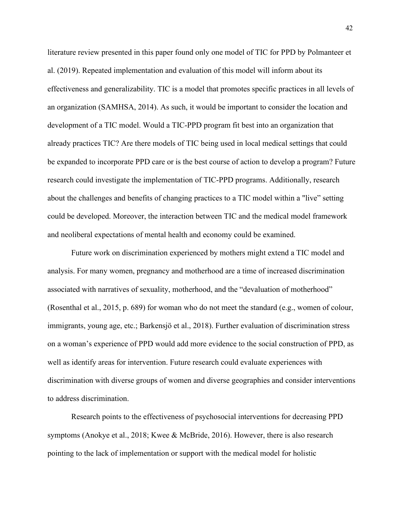literature review presented in this paper found only one model of TIC for PPD by Polmanteer et al. (2019). Repeated implementation and evaluation of this model will inform about its effectiveness and generalizability. TIC is a model that promotes specific practices in all levels of an organization (SAMHSA, 2014). As such, it would be important to consider the location and development of a TIC model. Would a TIC-PPD program fit best into an organization that already practices TIC? Are there models of TIC being used in local medical settings that could be expanded to incorporate PPD care or is the best course of action to develop a program? Future research could investigate the implementation of TIC-PPD programs. Additionally, research about the challenges and benefits of changing practices to a TIC model within a "live" setting could be developed. Moreover, the interaction between TIC and the medical model framework and neoliberal expectations of mental health and economy could be examined.

Future work on discrimination experienced by mothers might extend a TIC model and analysis. For many women, pregnancy and motherhood are a time of increased discrimination associated with narratives of sexuality, motherhood, and the "devaluation of motherhood" (Rosenthal et al., 2015, p. 689) for woman who do not meet the standard (e.g., women of colour, immigrants, young age, etc.; Barkensjö et al., 2018). Further evaluation of discrimination stress on a woman's experience of PPD would add more evidence to the social construction of PPD, as well as identify areas for intervention. Future research could evaluate experiences with discrimination with diverse groups of women and diverse geographies and consider interventions to address discrimination.

Research points to the effectiveness of psychosocial interventions for decreasing PPD symptoms (Anokye et al., 2018; Kwee & McBride, 2016). However, there is also research pointing to the lack of implementation or support with the medical model for holistic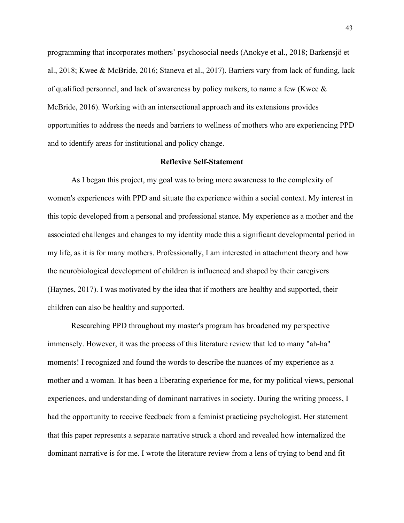programming that incorporates mothers' psychosocial needs (Anokye et al., 2018; Barkensjö et al., 2018; Kwee & McBride, 2016; Staneva et al., 2017). Barriers vary from lack of funding, lack of qualified personnel, and lack of awareness by policy makers, to name a few (Kwee & McBride, 2016). Working with an intersectional approach and its extensions provides opportunities to address the needs and barriers to wellness of mothers who are experiencing PPD and to identify areas for institutional and policy change.

## **Reflexive Self-Statement**

As I began this project, my goal was to bring more awareness to the complexity of women's experiences with PPD and situate the experience within a social context. My interest in this topic developed from a personal and professional stance. My experience as a mother and the associated challenges and changes to my identity made this a significant developmental period in my life, as it is for many mothers. Professionally, I am interested in attachment theory and how the neurobiological development of children is influenced and shaped by their caregivers (Haynes, 2017). I was motivated by the idea that if mothers are healthy and supported, their children can also be healthy and supported.

Researching PPD throughout my master's program has broadened my perspective immensely. However, it was the process of this literature review that led to many "ah-ha" moments! I recognized and found the words to describe the nuances of my experience as a mother and a woman. It has been a liberating experience for me, for my political views, personal experiences, and understanding of dominant narratives in society. During the writing process, I had the opportunity to receive feedback from a feminist practicing psychologist. Her statement that this paper represents a separate narrative struck a chord and revealed how internalized the dominant narrative is for me. I wrote the literature review from a lens of trying to bend and fit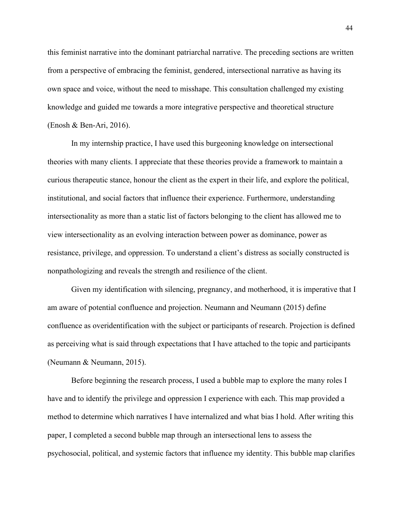this feminist narrative into the dominant patriarchal narrative. The preceding sections are written from a perspective of embracing the feminist, gendered, intersectional narrative as having its own space and voice, without the need to misshape. This consultation challenged my existing knowledge and guided me towards a more integrative perspective and theoretical structure (Enosh & Ben-Ari, 2016).

In my internship practice, I have used this burgeoning knowledge on intersectional theories with many clients. I appreciate that these theories provide a framework to maintain a curious therapeutic stance, honour the client as the expert in their life, and explore the political, institutional, and social factors that influence their experience. Furthermore, understanding intersectionality as more than a static list of factors belonging to the client has allowed me to view intersectionality as an evolving interaction between power as dominance, power as resistance, privilege, and oppression. To understand a client's distress as socially constructed is nonpathologizing and reveals the strength and resilience of the client.

Given my identification with silencing, pregnancy, and motherhood, it is imperative that I am aware of potential confluence and projection. Neumann and Neumann (2015) define confluence as overidentification with the subject or participants of research. Projection is defined as perceiving what is said through expectations that I have attached to the topic and participants (Neumann & Neumann, 2015).

Before beginning the research process, I used a bubble map to explore the many roles I have and to identify the privilege and oppression I experience with each. This map provided a method to determine which narratives I have internalized and what bias I hold. After writing this paper, I completed a second bubble map through an intersectional lens to assess the psychosocial, political, and systemic factors that influence my identity. This bubble map clarifies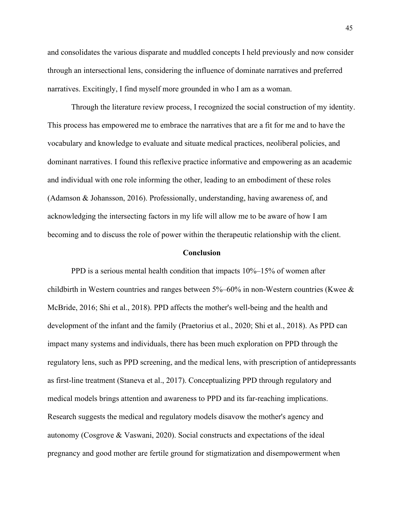and consolidates the various disparate and muddled concepts I held previously and now consider through an intersectional lens, considering the influence of dominate narratives and preferred narratives. Excitingly, I find myself more grounded in who I am as a woman.

Through the literature review process, I recognized the social construction of my identity. This process has empowered me to embrace the narratives that are a fit for me and to have the vocabulary and knowledge to evaluate and situate medical practices, neoliberal policies, and dominant narratives. I found this reflexive practice informative and empowering as an academic and individual with one role informing the other, leading to an embodiment of these roles (Adamson & Johansson, 2016). Professionally, understanding, having awareness of, and acknowledging the intersecting factors in my life will allow me to be aware of how I am becoming and to discuss the role of power within the therapeutic relationship with the client.

#### **Conclusion**

PPD is a serious mental health condition that impacts 10%–15% of women after childbirth in Western countries and ranges between 5%–60% in non-Western countries (Kwee & McBride, 2016; Shi et al., 2018). PPD affects the mother's well-being and the health and development of the infant and the family (Praetorius et al., 2020; Shi et al., 2018). As PPD can impact many systems and individuals, there has been much exploration on PPD through the regulatory lens, such as PPD screening, and the medical lens, with prescription of antidepressants as first-line treatment (Staneva et al., 2017). Conceptualizing PPD through regulatory and medical models brings attention and awareness to PPD and its far-reaching implications. Research suggests the medical and regulatory models disavow the mother's agency and autonomy (Cosgrove & Vaswani, 2020). Social constructs and expectations of the ideal pregnancy and good mother are fertile ground for stigmatization and disempowerment when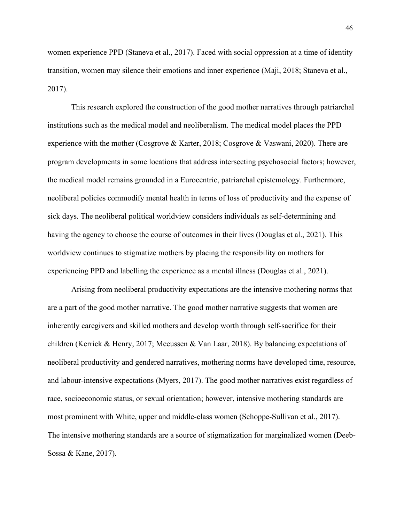women experience PPD (Staneva et al., 2017). Faced with social oppression at a time of identity transition, women may silence their emotions and inner experience (Maji, 2018; Staneva et al., 2017).

This research explored the construction of the good mother narratives through patriarchal institutions such as the medical model and neoliberalism. The medical model places the PPD experience with the mother (Cosgrove & Karter, 2018; Cosgrove & Vaswani, 2020). There are program developments in some locations that address intersecting psychosocial factors; however, the medical model remains grounded in a Eurocentric, patriarchal epistemology. Furthermore, neoliberal policies commodify mental health in terms of loss of productivity and the expense of sick days. The neoliberal political worldview considers individuals as self-determining and having the agency to choose the course of outcomes in their lives (Douglas et al., 2021). This worldview continues to stigmatize mothers by placing the responsibility on mothers for experiencing PPD and labelling the experience as a mental illness (Douglas et al., 2021).

Arising from neoliberal productivity expectations are the intensive mothering norms that are a part of the good mother narrative. The good mother narrative suggests that women are inherently caregivers and skilled mothers and develop worth through self-sacrifice for their children (Kerrick & Henry, 2017; Meeussen & Van Laar, 2018). By balancing expectations of neoliberal productivity and gendered narratives, mothering norms have developed time, resource, and labour-intensive expectations (Myers, 2017). The good mother narratives exist regardless of race, socioeconomic status, or sexual orientation; however, intensive mothering standards are most prominent with White, upper and middle-class women (Schoppe-Sullivan et al., 2017). The intensive mothering standards are a source of stigmatization for marginalized women (Deeb-Sossa & Kane, 2017).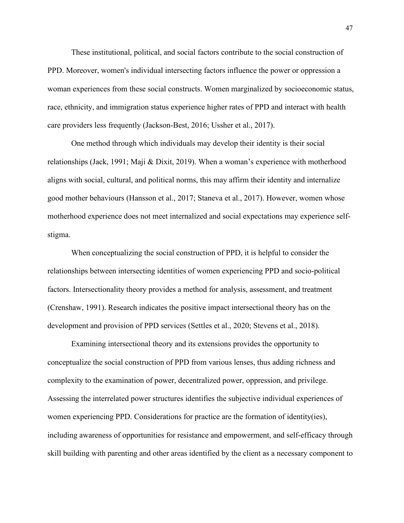These institutional, political, and social factors contribute to the social construction of PPD. Moreover, women's individual intersecting factors influence the power or oppression a woman experiences from these social constructs. Women marginalized by socioeconomic status, race, ethnicity, and immigration status experience higher rates of PPD and interact with health care providers less frequently (Jackson-Best, 2016; Ussher et al., 2017).

One method through which individuals may develop their identity is their social relationships (Jack, 1991; Maji & Dixit, 2019). When a woman's experience with motherhood aligns with social, cultural, and political norms, this may affirm their identity and internalize good mother behaviours (Hansson et al., 2017; Staneva et al., 2017). However, women whose motherhood experience does not meet internalized and social expectations may experience selfstigma.

When conceptualizing the social construction of PPD, it is helpful to consider the relationships between intersecting identities of women experiencing PPD and socio-political factors. Intersectionality theory provides a method for analysis, assessment, and treatment (Crenshaw, 1991). Research indicates the positive impact intersectional theory has on the development and provision of PPD services (Settles et al., 2020; Stevens et al., 2018).

Examining intersectional theory and its extensions provides the opportunity to conceptualize the social construction of PPD from various lenses, thus adding richness and complexity to the examination of power, decentralized power, oppression, and privilege. Assessing the interrelated power structures identifies the subjective individual experiences of women experiencing PPD. Considerations for practice are the formation of identity(ies), including awareness of opportunities for resistance and empowerment, and self-efficacy through skill building with parenting and other areas identified by the client as a necessary component to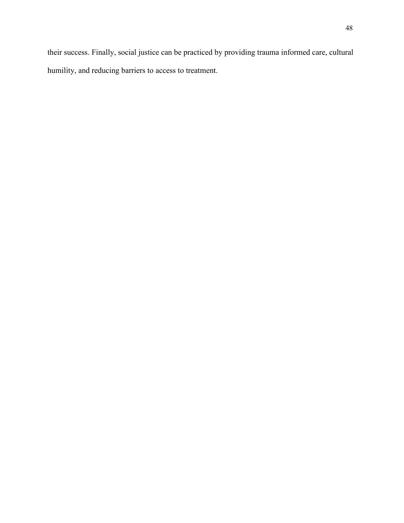their success. Finally, social justice can be practiced by providing trauma informed care, cultural humility, and reducing barriers to access to treatment.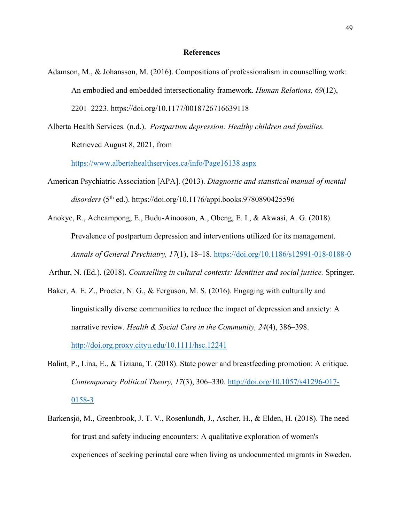#### **References**

- Adamson, M., & Johansson, M. (2016). Compositions of professionalism in counselling work: An embodied and embedded intersectionality framework. *Human Relations, 69*(12), 2201–2223. <https://doi.org/10.1177/0018726716639118>
- Alberta Health Services. (n.d.). *Postpartum depression: Healthy children and families.*  Retrieved August 8, 2021, from

<https://www.albertahealthservices.ca/info/Page16138.aspx>

American Psychiatric Association [APA]. (2013). *Diagnostic and statistical manual of mental disorders* (5th ed.).<https://doi.org/10.1176/appi.books.9780890425596>

Anokye, R., Acheampong, E., Budu-Ainooson, A., Obeng, E. I., & Akwasi, A. G. (2018). Prevalence of postpartum depression and interventions utilized for its management. *Annals of General Psychiatry, 17*(1), 18–18.<https://doi.org/10.1186/s12991-018-0188-0>

Arthur, N. (Ed.). (2018). *Counselling in cultural contexts: Identities and social justice.* Springer.

- Baker, A. E. Z., Procter, N. G., & Ferguson, M. S. (2016). Engaging with culturally and linguistically diverse communities to reduce the impact of depression and anxiety: A narrative review. *Health & Social Care in the Community, 24*(4), 386–398. [http://doi.org.proxy.cityu.edu/10.1111/hsc.12241](http://dx.doi.org.proxy.cityu.edu/10.1111/hsc.12241)
- Balint, P., Lina, E., & Tiziana, T. (2018). State power and breastfeeding promotion: A critique. *Contemporary Political Theory, 17*(3), 306–330. [http://doi.org/10.1057/s41296-017-](http://doi.org/10.1057/s41296-017-0158-3) [0158-3](http://doi.org/10.1057/s41296-017-0158-3)
- Barkensjö, M., Greenbrook, J. T. V., Rosenlundh, J., Ascher, H., & Elden, H. (2018). The need for trust and safety inducing encounters: A qualitative exploration of women's experiences of seeking perinatal care when living as undocumented migrants in Sweden.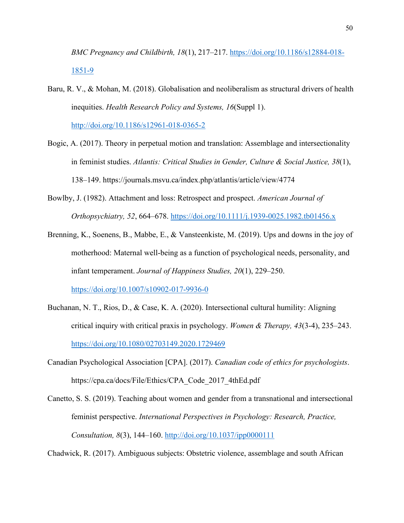*BMC Pregnancy and Childbirth, 18*(1), 217–217. [https://doi.org/10.1186/s12884-018-](https://doi.org/10.1186/s12884-018-1851-9) [1851-9](https://doi.org/10.1186/s12884-018-1851-9)

- Baru, R. V., & Mohan, M. (2018). Globalisation and neoliberalism as structural drivers of health inequities. *Health Research Policy and Systems, 16*(Suppl 1). <http://doi.org/10.1186/s12961-018-0365-2>
- Bogic, A. (2017). Theory in perpetual motion and translation: Assemblage and intersectionality in feminist studies. *Atlantis: Critical Studies in Gender, Culture & Social Justice, 38*(1), 138–149. https://journals.msvu.ca/index.php/atlantis/article/view/4774
- Bowlby, J. (1982). Attachment and loss: Retrospect and prospect. *American Journal of Orthopsychiatry, 52*, 664–678.<https://doi.org/10.1111/j.1939-0025.1982.tb01456.x>
- Brenning, K., Soenens, B., Mabbe, E., & Vansteenkiste, M. (2019). Ups and downs in the joy of motherhood: Maternal well-being as a function of psychological needs, personality, and infant temperament. *Journal of Happiness Studies, 20*(1), 229–250. <https://doi.org/10.1007/s10902-017-9936-0>
- Buchanan, N. T., Rios, D., & Case, K. A. (2020). Intersectional cultural humility: Aligning critical inquiry with critical praxis in psychology. *Women & Therapy, 43*(3-4), 235–243. <https://doi.org/10.1080/02703149.2020.1729469>
- Canadian Psychological Association [CPA]. (2017). *Canadian code of ethics for psychologists*. [https://cpa.ca/docs/File/Ethics/CPA\\_Code\\_2017\\_4thEd.pdf](https://cpa.ca/docs/File/Ethics/CPA_Code_2017_4thEd.pdf)
- Canetto, S. S. (2019). Teaching about women and gender from a transnational and intersectional feminist perspective. *International Perspectives in Psychology: Research, Practice, Consultation, 8*(3), 144–160.<http://doi.org/10.1037/ipp0000111>

Chadwick, R. (2017). Ambiguous subjects: Obstetric violence, assemblage and south African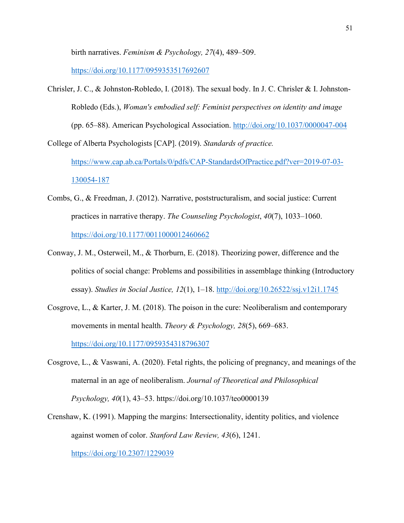birth narratives. *Feminism & Psychology, 27*(4), 489–509.

<https://doi.org/10.1177/0959353517692607>

Chrisler, J. C., & Johnston-Robledo, I. (2018). The sexual body. In J. C. Chrisler & I. Johnston-Robledo (Eds.), *Woman's embodied self: Feminist perspectives on identity and image* (pp. 65–88). American Psychological Association.<http://doi.org/10.1037/0000047-004> College of Alberta Psychologists [CAP]. (2019). *Standards of practice.* 

[https://www.cap.ab.ca/Portals/0/pdfs/CAP-StandardsOfPractice.pdf?ver=2019-07-03-](https://www.cap.ab.ca/Portals/0/pdfs/CAP-StandardsOfPractice.pdf?ver=2019-07-03-130054-187) [130054-187](https://www.cap.ab.ca/Portals/0/pdfs/CAP-StandardsOfPractice.pdf?ver=2019-07-03-130054-187)

- Combs, G., & Freedman, J. (2012). Narrative, poststructuralism, and social justice: Current practices in narrative therapy. *The Counseling Psychologist*, *40*(7), 1033–1060. <https://doi.org/10.1177/0011000012460662>
- Conway, J. M., Osterweil, M., & Thorburn, E. (2018). Theorizing power, difference and the politics of social change: Problems and possibilities in assemblage thinking (Introductory essay). *Studies in Social Justice, 12*(1), 1–18.<http://doi.org/10.26522/ssj.v12i1.1745>
- Cosgrove, L., & Karter, J. M. (2018). The poison in the cure: Neoliberalism and contemporary movements in mental health. *Theory & Psychology, 28*(5), 669–683. <https://doi.org/10.1177/0959354318796307>
- Cosgrove, L., & Vaswani, A. (2020). Fetal rights, the policing of pregnancy, and meanings of the maternal in an age of neoliberalism. *Journal of Theoretical and Philosophical Psychology, 40*(1), 43–53.<https://doi.org/10.1037/teo0000139>
- Crenshaw, K. (1991). Mapping the margins: Intersectionality, identity politics, and violence against women of color. *Stanford Law Review, 43*(6), 1241. <https://doi.org/10.2307/1229039>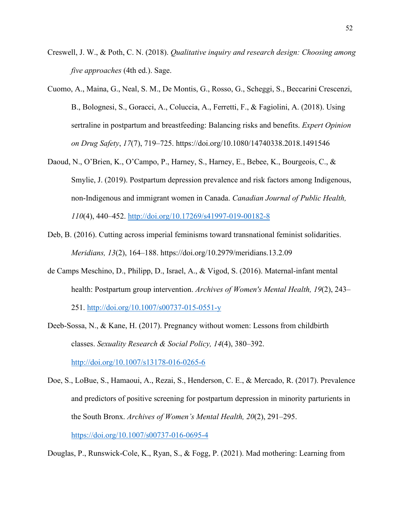- Creswell, J. W., & Poth, C. N. (2018). *Qualitative inquiry and research design: Choosing among five approaches* (4th ed.). Sage.
- Cuomo, A., Maina, G., Neal, S. M., De Montis, G., Rosso, G., Scheggi, S., Beccarini Crescenzi, B., Bolognesi, S., Goracci, A., Coluccia, A., Ferretti, F., & Fagiolini, A. (2018). Using sertraline in postpartum and breastfeeding: Balancing risks and benefits. *Expert Opinion on Drug Safety*, *17*(7), 719–725.<https://doi.org/10.1080/14740338.2018.1491546>
- Daoud, N., O'Brien, K., O'Campo, P., Harney, S., Harney, E., Bebee, K., Bourgeois, C., & Smylie, J. (2019). Postpartum depression prevalence and risk factors among Indigenous, non-Indigenous and immigrant women in Canada. *Canadian Journal of Public Health, 110*(4), 440–452.<http://doi.org/10.17269/s41997-019-00182-8>
- Deb, B. (2016). Cutting across imperial feminisms toward transnational feminist solidarities. *Meridians, 13*(2), 164–188.<https://doi.org/10.2979/meridians.13.2.09>
- de Camps Meschino, D., Philipp, D., Israel, A., & Vigod, S. (2016). Maternal-infant mental health: Postpartum group intervention. *Archives of Women's Mental Health, 19*(2), 243– 251.<http://doi.org/10.1007/s00737-015-0551-y>
- Deeb-Sossa, N., & Kane, H. (2017). Pregnancy without women: Lessons from childbirth classes. *Sexuality Research & Social Policy, 14*(4), 380–392. <http://doi.org/10.1007/s13178-016-0265-6>
- Doe, S., LoBue, S., Hamaoui, A., Rezai, S., Henderson, C. E., & Mercado, R. (2017). Prevalence and predictors of positive screening for postpartum depression in minority parturients in the South Bronx. *Archives of Women's Mental Health, 20*(2), 291–295. <https://doi.org/10.1007/s00737-016-0695-4>

Douglas, P., Runswick-Cole, K., Ryan, S., & Fogg, P. (2021). Mad mothering: Learning from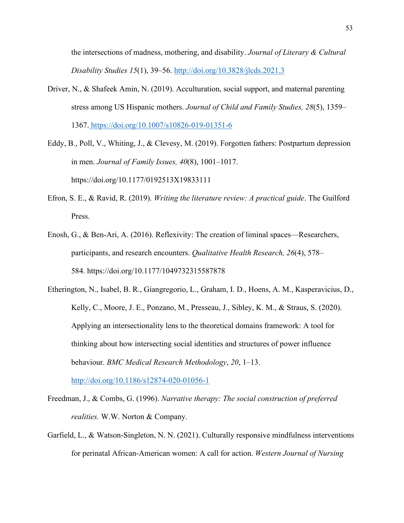the intersections of madness, mothering, and disability. *Journal of Literary & Cultural Disability Studies 15*(1), 39–56.<http://doi.org/10.3828/jlcds.2021.3>

Driver, N., & Shafeek Amin, N. (2019). Acculturation, social support, and maternal parenting stress among US Hispanic mothers. *Journal of Child and Family Studies, 28*(5), 1359– 1367. <https://doi.org/10.1007/s10826-019-01351-6>

Eddy, B., Poll, V., Whiting, J., & Clevesy, M. (2019). Forgotten fathers: Postpartum depression in men. *Journal of Family Issues, 40*(8), 1001–1017. <https://doi.org/10.1177/0192513X19833111>

- Efron, S. E., & Ravid, R. (2019). *Writing the literature review: A practical guide*. The Guilford Press.
- Enosh, G., & Ben-Ari, A. (2016). Reflexivity: The creation of liminal spaces—Researchers, participants, and research encounters. *Qualitative Health Research, 26*(4), 578– 584. <https://doi.org/10.1177/1049732315587878>
- Etherington, N., Isabel, B. R., Giangregorio, L., Graham, I. D., Hoens, A. M., Kasperavicius, D., Kelly, C., Moore, J. E., Ponzano, M., Presseau, J., Sibley, K. M., & Straus, S. (2020). Applying an intersectionality lens to the theoretical domains framework: A tool for thinking about how intersecting social identities and structures of power influence behaviour. *BMC Medical Research Methodology*, *20*, 1–13.

<http://doi.org/10.1186/s12874-020-01056-1>

- Freedman, J., & Combs, G. (1996). *Narrative therapy: The social construction of preferred realities.* W.W. Norton & Company.
- Garfield, L., & Watson-Singleton, N. N. (2021). Culturally responsive mindfulness interventions for perinatal African-American women: A call for action. *Western Journal of Nursing*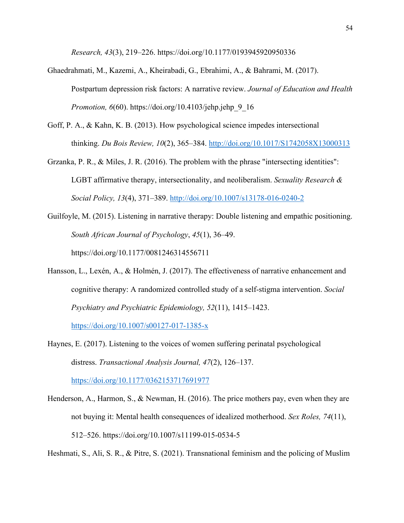*Research, 43*(3), 219–226.<https://doi.org/10.1177/0193945920950336>

- Ghaedrahmati, M., Kazemi, A., Kheirabadi, G., Ebrahimi, A., & Bahrami, M. (2017). Postpartum depression risk factors: A narrative review. *Journal of Education and Health Promotion, 6*(60). https://doi.org/10.4103/jehp.jehp 9 16
- Goff, P. A., & Kahn, K. B. (2013). How psychological science impedes intersectional thinking. *Du Bois Review, 10*(2), 365–384.<http://doi.org/10.1017/S1742058X13000313>
- Grzanka, P. R., & Miles, J. R. (2016). The problem with the phrase "intersecting identities": LGBT affirmative therapy, intersectionality, and neoliberalism. *Sexuality Research & Social Policy, 13*(4), 371–389.<http://doi.org/10.1007/s13178-016-0240-2>
- Guilfoyle, M. (2015). Listening in narrative therapy: Double listening and empathic positioning. *South African Journal of Psychology*, *45*(1), 36–49. <https://doi.org/10.1177/0081246314556711>
- Hansson, L., Lexén, A., & Holmén, J. (2017). The effectiveness of narrative enhancement and cognitive therapy: A randomized controlled study of a self-stigma intervention. *Social Psychiatry and Psychiatric Epidemiology, 52*(11), 1415–1423.

<https://doi.org/10.1007/s00127-017-1385-x>

Haynes, E. (2017). Listening to the voices of women suffering perinatal psychological distress. *Transactional Analysis Journal, 47*(2), 126–137.

<https://doi.org/10.1177/0362153717691977>

Henderson, A., Harmon, S., & Newman, H. (2016). The price mothers pay, even when they are not buying it: Mental health consequences of idealized motherhood. *Sex Roles, 74*(11), 512–526. <https://doi.org/10.1007/s11199-015-0534-5>

Heshmati, S., Ali, S. R., & Pitre, S. (2021). Transnational feminism and the policing of Muslim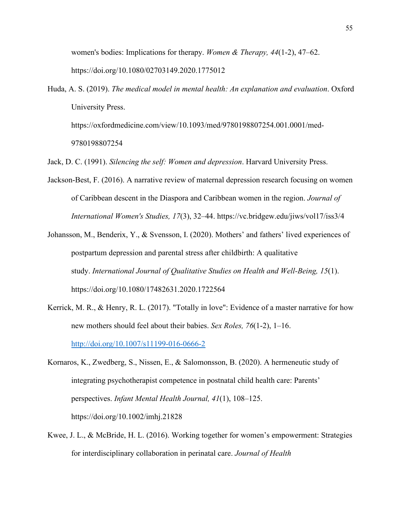women's bodies: Implications for therapy. *Women & Therapy, 44*(1-2), 47–62. <https://doi.org/10.1080/02703149.2020.1775012>

Huda, A. S. (2019). *The medical model in mental health: An explanation and evaluation*. Oxford University Press. [https://oxfordmedicine.com/view/10.1093/med/9780198807254.001.0001/med-](https://oxfordmedicine.com/view/10.1093/med/9780198807254.001.0001/med-9780198807254)

[9780198807254](https://oxfordmedicine.com/view/10.1093/med/9780198807254.001.0001/med-9780198807254)

Jack, D. C. (1991). *Silencing the self: Women and depression*. Harvard University Press.

- Jackson-Best, F. (2016). A narrative review of maternal depression research focusing on women of Caribbean descent in the Diaspora and Caribbean women in the region. *Journal of International Women's Studies, 17*(3), 32–44. https://vc.bridgew.edu/jiws/vol17/iss3/4
- Johansson, M., Benderix, Y., & Svensson, I. (2020). Mothers' and fathers' lived experiences of postpartum depression and parental stress after childbirth: A qualitative study. *International Journal of Qualitative Studies on Health and Well-Being, 15*(1). <https://doi.org/10.1080/17482631.2020.1722564>
- Kerrick, M. R., & Henry, R. L. (2017). "Totally in love": Evidence of a master narrative for how new mothers should feel about their babies. *Sex Roles, 76*(1-2), 1–16. <http://doi.org/10.1007/s11199-016-0666-2>
- Kornaros, K., Zwedberg, S., Nissen, E., & Salomonsson, B. (2020). A hermeneutic study of integrating psychotherapist competence in postnatal child health care: Parents' perspectives. *Infant Mental Health Journal, 41*(1), 108–125. https://doi.org/10.1002/imhj.21828
- Kwee, J. L., & McBride, H. L. (2016). Working together for women's empowerment: Strategies for interdisciplinary collaboration in perinatal care. *Journal of Health*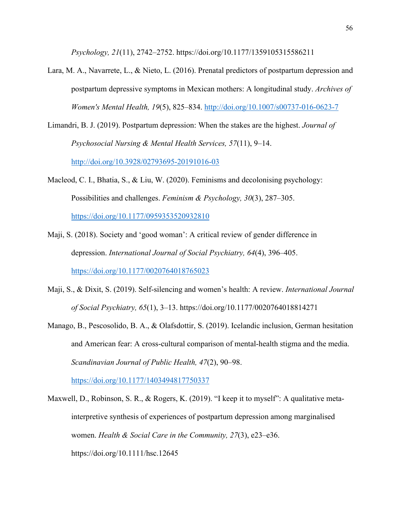*Psychology, 21*(11), 2742–2752. <https://doi.org/10.1177/1359105315586211>

- Lara, M. A., Navarrete, L., & Nieto, L. (2016). Prenatal predictors of postpartum depression and postpartum depressive symptoms in Mexican mothers: A longitudinal study. *Archives of Women's Mental Health, 19*(5), 825–834.<http://doi.org/10.1007/s00737-016-0623-7>
- Limandri, B. J. (2019). Postpartum depression: When the stakes are the highest. *Journal of Psychosocial Nursing & Mental Health Services, 57*(11), 9–14.

<http://doi.org/10.3928/02793695-20191016-03>

Macleod, C. I., Bhatia, S., & Liu, W. (2020). Feminisms and decolonising psychology: Possibilities and challenges. *Feminism & Psychology, 30*(3), 287–305.

<https://doi.org/10.1177/0959353520932810>

- Maji, S. (2018). Society and 'good woman': A critical review of gender difference in depression. *International Journal of Social Psychiatry, 64*(4), 396–405. <https://doi.org/10.1177/0020764018765023>
- Maji, S., & Dixit, S. (2019). Self-silencing and women's health: A review. *International Journal of Social Psychiatry, 65*(1), 3–13.<https://doi.org/10.1177/0020764018814271>
- Manago, B., Pescosolido, B. A., & Olafsdottir, S. (2019). Icelandic inclusion, German hesitation and American fear: A cross-cultural comparison of mental-health stigma and the media. *Scandinavian Journal of Public Health, 47*(2), 90–98.

<https://doi.org/10.1177/1403494817750337>

Maxwell, D., Robinson, S. R., & Rogers, K. (2019). "I keep it to myself": A qualitative metainterpretive synthesis of experiences of postpartum depression among marginalised women. *Health & Social Care in the Community, 27*(3), e23–e36. <https://doi.org/10.1111/hsc.12645>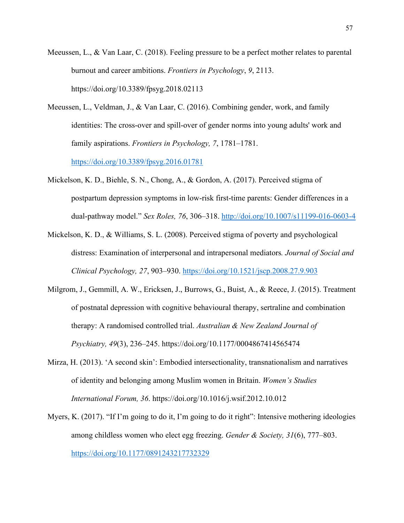Meeussen, L., & Van Laar, C. (2018). Feeling pressure to be a perfect mother relates to parental burnout and career ambitions. *Frontiers in Psychology*, *9*, 2113. <https://doi.org/10.3389/fpsyg.2018.02113>

Meeussen, L., Veldman, J., & Van Laar, C. (2016). Combining gender, work, and family identities: The cross-over and spill-over of gender norms into young adults' work and family aspirations. *Frontiers in Psychology, 7*, 1781–1781.

<https://doi.org/10.3389/fpsyg.2016.01781>

- Mickelson, K. D., Biehle, S. N., Chong, A., & Gordon, A. (2017). Perceived stigma of postpartum depression symptoms in low-risk first-time parents: Gender differences in a dual-pathway model." *Sex Roles, 76*, 306–318.<http://doi.org/10.1007/s11199-016-0603-4>
- Mickelson, K. D., & Williams, S. L. (2008). Perceived stigma of poverty and psychological distress: Examination of interpersonal and intrapersonal mediators*. Journal of Social and Clinical Psychology, 27*, 903–930.<https://doi.org/10.1521/jscp.2008.27.9.903>
- Milgrom, J., Gemmill, A. W., Ericksen, J., Burrows, G., Buist, A., & Reece, J. (2015). Treatment of postnatal depression with cognitive behavioural therapy, sertraline and combination therapy: A randomised controlled trial. *Australian & New Zealand Journal of Psychiatry, 49*(3), 236–245. <https://doi.org/10.1177/0004867414565474>
- Mirza, H. (2013). 'A second skin': Embodied intersectionality, transnationalism and narratives of identity and belonging among Muslim women in Britain. *Women's Studies International Forum, 36*.<https://doi.org/10.1016/j.wsif.2012.10.012>
- Myers, K. (2017). "If I'm going to do it, I'm going to do it right": Intensive mothering ideologies among childless women who elect egg freezing. *Gender & Society, 31*(6), 777–803. <https://doi.org/10.1177/0891243217732329>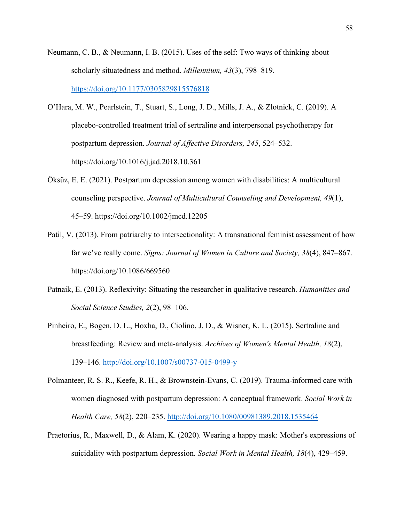- Neumann, C. B., & Neumann, I. B. (2015). Uses of the self: Two ways of thinking about scholarly situatedness and method. *Millennium, 43*(3), 798–819. <https://doi.org/10.1177/0305829815576818>
- O'Hara, M. W., Pearlstein, T., Stuart, S., Long, J. D., Mills, J. A., & Zlotnick, C. (2019). A placebo-controlled treatment trial of sertraline and interpersonal psychotherapy for postpartum depression. *Journal of Affective Disorders, 245*, 524–532. <https://doi.org/10.1016/j.jad.2018.10.361>
- Öksüz, E. E. (2021). Postpartum depression among women with disabilities: A multicultural counseling perspective. *Journal of Multicultural Counseling and Development, 49*(1), 45–59. <https://doi.org/10.1002/jmcd.12205>
- Patil, V. (2013). From patriarchy to intersectionality: A transnational feminist assessment of how far we've really come. *Signs: Journal of Women in Culture and Society, 38*(4), 847–867. <https://doi.org/10.1086/669560>
- Patnaik, E. (2013). Reflexivity: Situating the researcher in qualitative research. *Humanities and Social Science Studies, 2*(2), 98–106.
- Pinheiro, E., Bogen, D. L., Hoxha, D., Ciolino, J. D., & Wisner, K. L. (2015). Sertraline and breastfeeding: Review and meta-analysis. *Archives of Women's Mental Health, 18*(2), 139–146.<http://doi.org/10.1007/s00737-015-0499-y>
- Polmanteer, R. S. R., Keefe, R. H., & Brownstein-Evans, C. (2019). Trauma-informed care with women diagnosed with postpartum depression: A conceptual framework. *Social Work in Health Care, 58*(2), 220–235.<http://doi.org/10.1080/00981389.2018.1535464>
- Praetorius, R., Maxwell, D., & Alam, K. (2020). Wearing a happy mask: Mother's expressions of suicidality with postpartum depression. *Social Work in Mental Health, 18*(4), 429–459.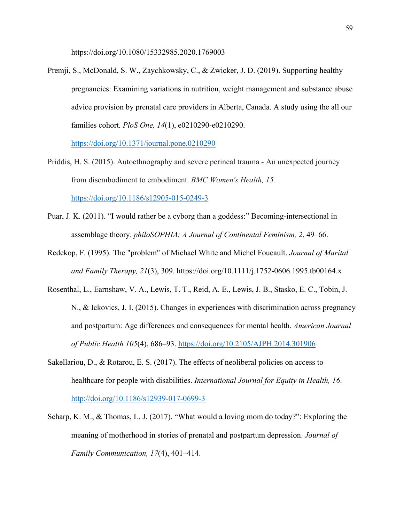<https://doi.org/10.1080/15332985.2020.1769003>

Premji, S., McDonald, S. W., Zaychkowsky, C., & Zwicker, J. D. (2019). Supporting healthy pregnancies: Examining variations in nutrition, weight management and substance abuse advice provision by prenatal care providers in Alberta, Canada. A study using the all our families cohort*. PloS One, 14*(1), e0210290-e0210290.

<https://doi.org/10.1371/journal.pone.0210290>

- Priddis, H. S. (2015). Autoethnography and severe perineal trauma An unexpected journey from disembodiment to embodiment. *BMC Women's Health, 15.* <https://doi.org/10.1186/s12905-015-0249-3>
- Puar, J. K. (2011). "I would rather be a cyborg than a goddess:" Becoming-intersectional in assemblage theory. *philoSOPHIA: A Journal of Continental Feminism, 2*, 49–66.
- Redekop, F. (1995). The "problem" of Michael White and Michel Foucault. *Journal of Marital and Family Therapy, 21*(3), 309.<https://doi.org/10.1111/j.1752-0606.1995.tb00164.x>
- Rosenthal, L., Earnshaw, V. A., Lewis, T. T., Reid, A. E., Lewis, J. B., Stasko, E. C., Tobin, J. N., & Ickovics, J. I. (2015). Changes in experiences with discrimination across pregnancy and postpartum: Age differences and consequences for mental health. *American Journal of Public Health 105*(4), 686–93. <https://doi.org/10.2105/AJPH.2014.301906>
- Sakellariou, D., & Rotarou, E. S. (2017). The effects of neoliberal policies on access to healthcare for people with disabilities. *International Journal for Equity in Health, 16*. <http://doi.org/10.1186/s12939-017-0699-3>
- Scharp, K. M., & Thomas, L. J. (2017). "What would a loving mom do today?": Exploring the meaning of motherhood in stories of prenatal and postpartum depression. *Journal of Family Communication, 17*(4), 401–414.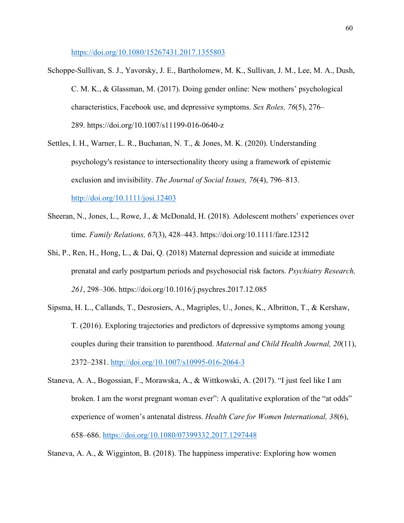<https://doi.org/10.1080/15267431.2017.1355803>

- Schoppe-Sullivan, S. J., Yavorsky, J. E., Bartholomew, M. K., Sullivan, J. M., Lee, M. A., Dush, C. M. K., & Glassman, M. (2017). Doing gender online: New mothers' psychological characteristics, Facebook use, and depressive symptoms. *Sex Roles, 76*(5), 276– 289. <https://doi.org/10.1007/s11199-016-0640-z>
- Settles, I. H., Warner, L. R., Buchanan, N. T., & Jones, M. K. (2020). Understanding psychology's resistance to intersectionality theory using a framework of epistemic exclusion and invisibility. *The Journal of Social Issues, 76*(4), 796–813. <http://doi.org/10.1111/josi.12403>
- Sheeran, N., Jones, L., Rowe, J., & McDonald, H. (2018). Adolescent mothers' experiences over time. *Family Relations, 67*(3), 428–443.<https://doi.org/10.1111/fare.12312>
- Shi, P., Ren, H., Hong, L., & Dai, Q. (2018) Maternal depression and suicide at immediate prenatal and early postpartum periods and psychosocial risk factors. *Psychiatry Research, 261*, 298–306.<https://doi.org/10.1016/j.psychres.2017.12.085>
- Sipsma, H. L., Callands, T., Desrosiers, A., Magriples, U., Jones, K., Albritton, T., & Kershaw, T. (2016). Exploring trajectories and predictors of depressive symptoms among young couples during their transition to parenthood. *Maternal and Child Health Journal, 20*(11), 2372–2381.<http://doi.org/10.1007/s10995-016-2064-3>
- Staneva, A. A., Bogossian, F., Morawska, A., & Wittkowski, A. (2017). "I just feel like I am broken. I am the worst pregnant woman ever": A qualitative exploration of the "at odds" experience of women's antenatal distress. *Health Care for Women International, 38*(6), 658–686.<https://doi.org/10.1080/07399332.2017.1297448>

Staneva, A. A., & Wigginton, B. (2018). The happiness imperative: Exploring how women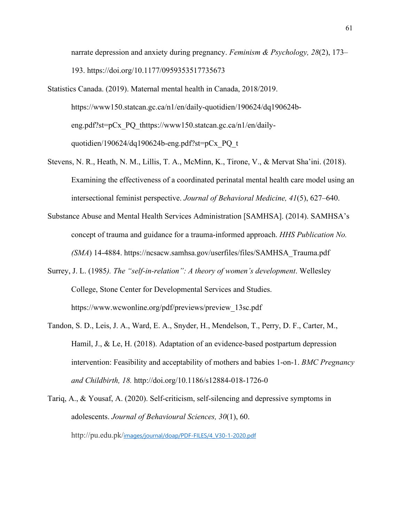narrate depression and anxiety during pregnancy. *Feminism & Psychology, 28*(2), 173– 193. https://doi.org/10.1177/0959353517735673

- Statistics Canada. (2019). Maternal mental health in Canada, 2018/2019. [https://www150.statcan.gc.ca/n1/en/daily-quotidien/190624/dq190624b](https://www150.statcan.gc.ca/n1/en/daily-quotidien/190624/dq190624b-eng.pdf?st=pCx_PQ_t)[eng.pdf?st=pCx\\_PQ\\_th](https://www150.statcan.gc.ca/n1/en/daily-quotidien/190624/dq190624b-eng.pdf?st=pCx_PQ_t)ttps://www150.statcan.gc.ca/n1/en/dailyquotidien/190624/dq190624b-eng.pdf?st= $pCx$  PQ t
- Stevens, N. R., Heath, N. M., Lillis, T. A., McMinn, K., Tirone, V., & Mervat Sha'ini. (2018). Examining the effectiveness of a coordinated perinatal mental health care model using an intersectional feminist perspective. *Journal of Behavioral Medicine, 41*(5), 627–640.
- Substance Abuse and Mental Health Services Administration [SAMHSA]. (2014). SAMHSA's concept of trauma and guidance for a trauma-informed approach. *HHS Publication No. (SMA*) 14-4884. https://ncsacw.samhsa.gov/userfiles/files/SAMHSA\_Trauma.pdf
- Surrey, J. L. (1985*). The "self-in-relation": A theory of women's development*. Wellesley College, Stone Center for Developmental Services and Studies. https://www.wcwonline.org/pdf/previews/preview\_13sc.pdf
- Tandon, S. D., Leis, J. A., Ward, E. A., Snyder, H., Mendelson, T., Perry, D. F., Carter, M., Hamil, J., & Le, H. (2018). Adaptation of an evidence-based postpartum depression intervention: Feasibility and acceptability of mothers and babies 1-on-1. *BMC Pregnancy and Childbirth, 18.* http://doi.org/10.1186/s12884-018-1726-0
- Tariq, A., & Yousaf, A. (2020). Self-criticism, self-silencing and depressive symptoms in adolescents. *Journal of Behavioural Sciences, 30*(1), 60. http://pu.edu.pk/[images/journal/doap/PDF-FILES/4\\_V30-1-2020.pdf](http://pu.edu.pk/images/journal/doap/PDF-FILES/4_V30-1-2020.pdf)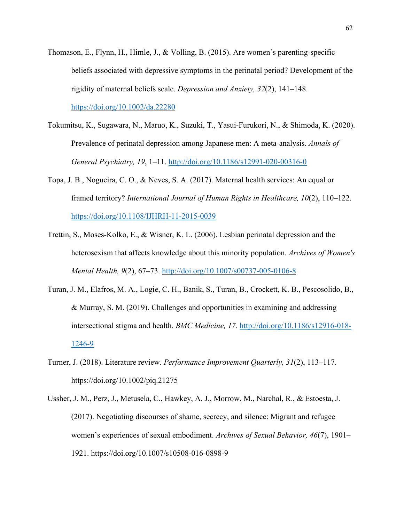- Thomason, E., Flynn, H., Himle, J., & Volling, B. (2015). Are women's parenting-specific beliefs associated with depressive symptoms in the perinatal period? Development of the rigidity of maternal beliefs scale. *Depression and Anxiety, 32*(2), 141–148. <https://doi.org/10.1002/da.22280>
- Tokumitsu, K., Sugawara, N., Maruo, K., Suzuki, T., Yasui-Furukori, N., & Shimoda, K. (2020). Prevalence of perinatal depression among Japanese men: A meta-analysis. *Annals of General Psychiatry, 19*, 1–11.<http://doi.org/10.1186/s12991-020-00316-0>
- Topa, J. B., Nogueira, C. O., & Neves, S. A. (2017). Maternal health services: An equal or framed territory? *International Journal of Human Rights in Healthcare, 10*(2), 110–122. <https://doi.org/10.1108/IJHRH-11-2015-0039>
- Trettin, S., Moses-Kolko, E., & Wisner, K. L. (2006). Lesbian perinatal depression and the heterosexism that affects knowledge about this minority population. *Archives of Women's Mental Health, 9*(2), 67–73.<http://doi.org/10.1007/s00737-005-0106-8>
- Turan, J. M., Elafros, M. A., Logie, C. H., Banik, S., Turan, B., Crockett, K. B., Pescosolido, B., & Murray, S. M. (2019). Challenges and opportunities in examining and addressing intersectional stigma and health. *BMC Medicine, 17.* [http://doi.org/10.1186/s12916-018-](http://doi.org/10.1186/s12916-018-1246-9) [1246-9](http://doi.org/10.1186/s12916-018-1246-9)
- Turner, J. (2018). Literature review. *Performance Improvement Quarterly, 31*(2), 113–117. <https://doi.org/10.1002/piq.21275>
- Ussher, J. M., Perz, J., Metusela, C., Hawkey, A. J., Morrow, M., Narchal, R., & Estoesta, J. (2017). Negotiating discourses of shame, secrecy, and silence: Migrant and refugee women's experiences of sexual embodiment. *Archives of Sexual Behavior, 46*(7), 1901– 1921. <https://doi.org/10.1007/s10508-016-0898-9>